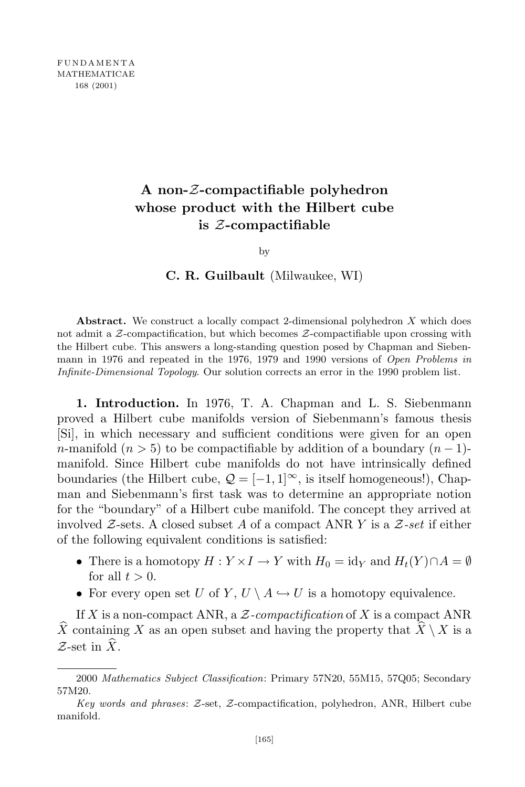# **A non-***Z***-compactifiable polyhedron whose product with the Hilbert cube is** *Z***-compactifiable**

by

# **C. R. Guilbault** (Milwaukee, WI)

**Abstract.** We construct a locally compact 2-dimensional polyhedron *X* which does not admit a *Z*-compactification, but which becomes *Z*-compactifiable upon crossing with the Hilbert cube. This answers a long-standing question posed by Chapman and Siebenmann in 1976 and repeated in the 1976, 1979 and 1990 versions of *Open Problems in Infinite-Dimensional Topology*. Our solution corrects an error in the 1990 problem list.

**1. Introduction.** In 1976, T. A. Chapman and L. S. Siebenmann proved a Hilbert cube manifolds version of Siebenmann's famous thesis [Si], in which necessary and sufficient conditions were given for an open *n*-manifold ( $n > 5$ ) to be compactifiable by addition of a boundary ( $n - 1$ )manifold. Since Hilbert cube manifolds do not have intrinsically defined boundaries (the Hilbert cube,  $Q = [-1, 1]^\infty$ , is itself homogeneous!), Chapman and Siebenmann's first task was to determine an appropriate notion for the "boundary" of a Hilbert cube manifold. The concept they arrived at involved *Z*-sets. A closed subset *A* of a compact ANR *Y* is a *Z-set* if either of the following equivalent conditions is satisfied:

- There is a homotopy  $H: Y \times I \to Y$  with  $H_0 = id_Y$  and  $H_t(Y) \cap A = \emptyset$ for all  $t > 0$ .
- For every open set *U* of *Y*,  $U \setminus A \hookrightarrow U$  is a homotopy equivalence.

If *X* is a non-compact ANR, a *Z-compactification* of *X* is a compact ANR  $\widehat{X}$  containing *X* as an open subset and having the property that  $\widehat{X} \setminus X$  is a  $\mathcal{Z}$ -set in  $\widehat{X}$ .

<sup>2000</sup> *Mathematics Subject Classification*: Primary 57N20, 55M15, 57Q05; Secondary 57M20.

*Key words and phrases*: *Z*-set, *Z*-compactification, polyhedron, ANR, Hilbert cube manifold.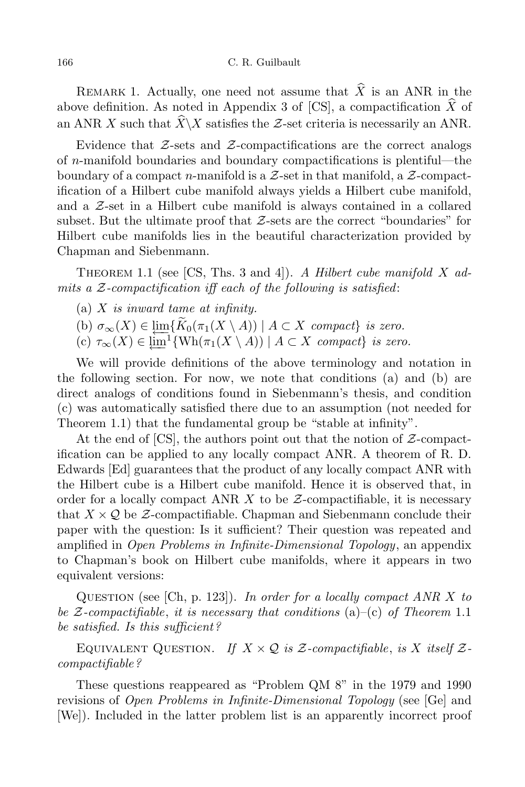REMARK 1. Actually, one need not assume that  $\widehat{X}$  is an ANR in the above definition. As noted in Appendix 3 of [CS], a compactification  $\widehat{X}$  of an ANR *X* such that  $\widehat{X}\setminus X$  satisfies the *Z*-set criteria is necessarily an ANR.

Evidence that *Z*-sets and *Z*-compactifications are the correct analogs of *n*-manifold boundaries and boundary compactifications is plentiful—the boundary of a compact *n*-manifold is a *Z*-set in that manifold, a *Z*-compactification of a Hilbert cube manifold always yields a Hilbert cube manifold, and a *Z*-set in a Hilbert cube manifold is always contained in a collared subset. But the ultimate proof that *Z*-sets are the correct "boundaries" for Hilbert cube manifolds lies in the beautiful characterization provided by Chapman and Siebenmann.

THEOREM 1.1 (see [CS, Ths. 3 and 4]). *A Hilbert cube manifold X admits a Z-compactification iff each of the following is satisfied*:

- (a) *X is inward tame at infinity.*
- $J(\mathbf{b})$   $\sigma_{\infty}(X) \in \lim_{\mathbb{R}^n} \{ K_0(\pi_1(X \setminus A)) \mid A \subset X \text{ compact} \}$  is zero.<br>  $J(\mathbf{c}) \subset \mathbb{R}^n$   $\{ K \in \mathbb{R}^n : \mathbb{R}^n \times \mathbb{R}^n \}$
- $f(c) \tau_{\infty}(X) \in \varprojlim^{1} \{ \text{Wh}(\pi_{1}(X \setminus A)) \mid A \subset X \text{ compact} \}$  is zero.

We will provide definitions of the above terminology and notation in the following section. For now, we note that conditions (a) and (b) are direct analogs of conditions found in Siebenmann's thesis, and condition (c) was automatically satisfied there due to an assumption (not needed for Theorem 1.1) that the fundamental group be "stable at infinity".

At the end of [CS], the authors point out that the notion of *Z*-compactification can be applied to any locally compact ANR. A theorem of R. D. Edwards [Ed] guarantees that the product of any locally compact ANR with the Hilbert cube is a Hilbert cube manifold. Hence it is observed that, in order for a locally compact ANR *X* to be *Z*-compactifiable, it is necessary that  $X \times Q$  be Z-compactifiable. Chapman and Siebenmann conclude their paper with the question: Is it sufficient? Their question was repeated and amplified in *Open Problems in Infinite-Dimensional Topology*, an appendix to Chapman's book on Hilbert cube manifolds, where it appears in two equivalent versions:

Question (see [Ch, p. 123]). *In order for a locally compact ANR X to be Z-compactifiable*, *it is necessary that conditions* (a)–(c) *of Theorem* 1.1 *be satisfied. Is this sufficient?*

EQUIVALENT QUESTION. If  $X \times Q$  is  $Z$ -compactifiable, is  $X$  itself  $Z$ *compactifiable?*

These questions reappeared as "Problem QM 8" in the 1979 and 1990 revisions of *Open Problems in Infinite-Dimensional Topology* (see [Ge] and [We]). Included in the latter problem list is an apparently incorrect proof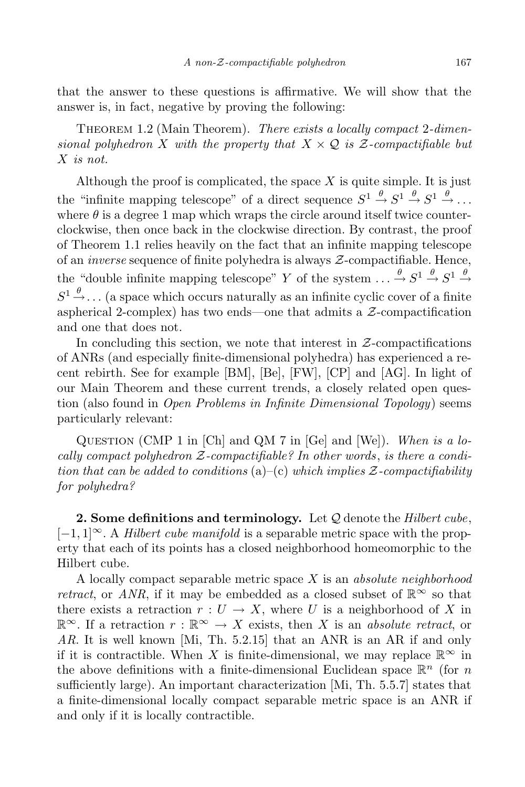that the answer to these questions is affirmative. We will show that the answer is, in fact, negative by proving the following:

Theorem 1.2 (Main Theorem). *There exists a locally compact* 2*-dimensional polyhedron X with the property that*  $X \times Q$  *is*  $Z$ *-compactifiable but X is not.*

Although the proof is complicated, the space *X* is quite simple. It is just the "infinite mapping telescope" of a direct sequence  $S^1 \stackrel{\theta}{\rightarrow} S^1 \stackrel{\theta}{\rightarrow} S^1 \stackrel{\theta}{\rightarrow} \ldots$ where  $\theta$  is a degree 1 map which wraps the circle around itself twice counterclockwise, then once back in the clockwise direction. By contrast, the proof of Theorem 1.1 relies heavily on the fact that an infinite mapping telescope of an *inverse* sequence of finite polyhedra is always *Z*-compactifiable. Hence, the "double infinite mapping telescope" *Y* of the system  $\ldots \stackrel{\theta}{\rightarrow} S^1 \stackrel{\theta}{\rightarrow} S^1 \stackrel{\theta}{\rightarrow}$  $S^1 \stackrel{\theta}{\rightarrow} \ldots$  (a space which occurs naturally as an infinite cyclic cover of a finite aspherical 2-complex) has two ends—one that admits a *Z*-compactification and one that does not.

In concluding this section, we note that interest in *Z*-compactifications of ANRs (and especially finite-dimensional polyhedra) has experienced a recent rebirth. See for example [BM], [Be], [FW], [CP] and [AG]. In light of our Main Theorem and these current trends, a closely related open question (also found in *Open Problems in Infinite Dimensional Topology*) seems particularly relevant:

Question (CMP 1 in [Ch] and QM 7 in [Ge] and [We]). *When is a locally compact polyhedron Z-compactifiable? In other words*, *is there a condition that can be added to conditions* (a)–(c) *which implies Z-compactifiability for polyhedra?*

**2. Some definitions and terminology.** Let *Q* denote the *Hilbert cube*, [*−*1*,* 1]*∞*. A *Hilbert cube manifold* is a separable metric space with the property that each of its points has a closed neighborhood homeomorphic to the Hilbert cube.

A locally compact separable metric space *X* is an *absolute neighborhood retract*, or *ANR*, if it may be embedded as a closed subset of  $\mathbb{R}^{\infty}$  so that there exists a retraction  $r: U \to X$ , where *U* is a neighborhood of *X* in  $\mathbb{R}^\infty$ . If a retraction *r* :  $\mathbb{R}^\infty$  → *X* exists, then *X* is an *absolute retract*, or *AR*. It is well known [Mi, Th. 5.2.15] that an ANR is an AR if and only if it is contractible. When *X* is finite-dimensional, we may replace  $\mathbb{R}^{\infty}$  in the above definitions with a finite-dimensional Euclidean space  $\mathbb{R}^n$  (for *n* sufficiently large). An important characterization [Mi, Th. 5.5.7] states that a finite-dimensional locally compact separable metric space is an ANR if and only if it is locally contractible.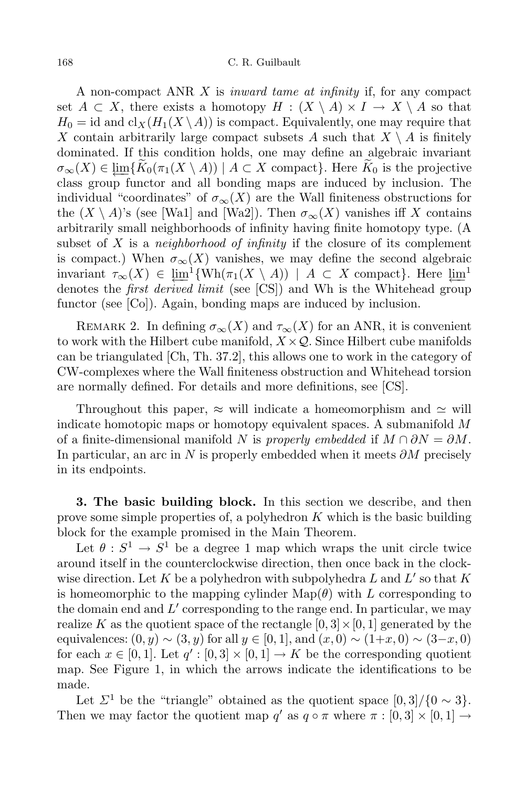A non-compact ANR *X* is *inward tame at infinity* if, for any compact set  $A \subset X$ , there exists a homotopy  $H : (X \setminus A) \times I \to X \setminus A$  so that  $H_0 = id$  and  $cl_X(H_1(X \setminus A))$  is compact. Equivalently, one may require that *X* contain arbitrarily large compact subsets *A* such that  $X \setminus A$  is finitely dominated. If this condition holds, one may define an algebraic invariant  $\sigma_{\infty}(X) \in \varprojlim\{K_0(\pi_1(X \setminus A)) \mid A \subset X \text{ compact}\}.$  Here  $K_0$  is the projective class group functor and all bonding maps are induced by inclusion. The class group functor and all bonding maps are induced by inclusion. The individual "coordinates" of  $\sigma_{\infty}(X)$  are the Wall finiteness obstructions for the  $(X \setminus A)$ 's (see [Wa1] and [Wa2]). Then  $\sigma_{\infty}(X)$  vanishes iff X contains arbitrarily small neighborhoods of infinity having finite homotopy type. (A subset of *X* is a *neighborhood of infinity* if the closure of its complement is compact.) When  $\sigma_{\infty}(X)$  vanishes, we may define the second algebraic invariant  $\tau_{\infty}(X) \in \underline{\lim}^1 \{ \text{Wh}(\pi_1(X \setminus A)) \mid A \subset X \text{ compact} \}.$  Here  $\underline{\lim}^1$ <br>denotes the *first derived limit* (see [CS]) and Wh is the Whitehead group denotes the *first derived limit* (see [CS]) and Wh is the Whitehead group functor (see [Co]). Again, bonding maps are induced by inclusion.

REMARK 2. In defining  $\sigma_{\infty}(X)$  and  $\tau_{\infty}(X)$  for an ANR, it is convenient to work with the Hilbert cube manifold,  $X \times Q$ . Since Hilbert cube manifolds can be triangulated [Ch, Th. 37.2], this allows one to work in the category of CW-complexes where the Wall finiteness obstruction and Whitehead torsion are normally defined. For details and more definitions, see [CS].

Throughout this paper,  $\approx$  will indicate a homeomorphism and  $\approx$  will indicate homotopic maps or homotopy equivalent spaces. A submanifold *M* of a finite-dimensional manifold *N* is *properly embedded* if  $M \cap \partial N = \partial M$ . In particular, an arc in *N* is properly embedded when it meets *∂M* precisely in its endpoints.

**3. The basic building block.** In this section we describe, and then prove some simple properties of, a polyhedron *K* which is the basic building block for the example promised in the Main Theorem.

Let  $\theta : S^1 \to S^1$  be a degree 1 map which wraps the unit circle twice around itself in the counterclockwise direction, then once back in the clockwise direction. Let  $K$  be a polyhedron with subpolyhedra  $L$  and  $L'$  so that  $K$ is homeomorphic to the mapping cylinder  $\text{Map}(\theta)$  with *L* corresponding to the domain end and  $L'$  corresponding to the range end. In particular, we may realize *K* as the quotient space of the rectangle  $[0,3] \times [0,1]$  generated by the equivalences:  $(0, y) \sim (3, y)$  for all  $y \in [0, 1]$ , and  $(x, 0) \sim (1+x, 0) \sim (3-x, 0)$ for each  $x \in [0,1]$ . Let  $q' : [0,3] \times [0,1] \to K$  be the corresponding quotient map. See Figure 1, in which the arrows indicate the identifications to be made.

Let  $\Sigma^1$  be the "triangle" obtained as the quotient space  $[0,3]/\{0 \sim 3\}$ . Then we may factor the quotient map  $q'$  as  $q \circ \pi$  where  $\pi : [0,3] \times [0,1] \rightarrow$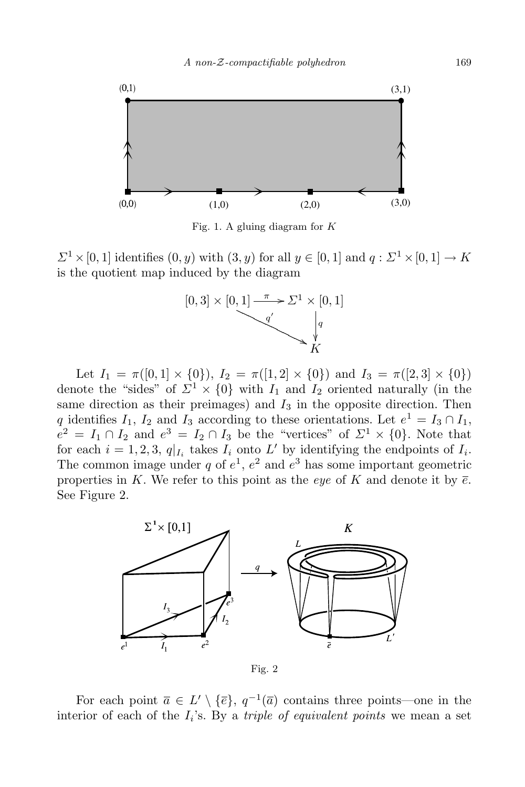

Fig. 1. A gluing diagram for *K*

 $\Sigma$ <sup>1</sup>  $\times$  [0, 1] identifies (0*, y*) with (3*, y*) for all  $y \in [0, 1]$  and  $q : \Sigma$ <sup>1</sup>  $\times$  [0, 1]  $\rightarrow$  *K* is the quotient map induced by the diagram



Let  $I_1 = \pi([0,1] \times \{0\})$ ,  $I_2 = \pi([1,2] \times \{0\})$  and  $I_3 = \pi([2,3] \times \{0\})$ denote the "sides" of  $\Sigma^1 \times \{0\}$  with  $I_1$  and  $I_2$  oriented naturally (in the same direction as their preimages) and  $I_3$  in the opposite direction. Then *q* identifies *I*<sub>1</sub>, *I*<sub>2</sub> and *I*<sub>3</sub> according to these orientations. Let  $e^1 = I_3 \cap I_1$ ,  $e^2 = I_1 \cap I_2$  and  $e^3 = I_2 \cap I_3$  be the "vertices" of  $\mathcal{Z}^1 \times \{0\}$ . Note that for each  $i = 1, 2, 3, q|_{I_i}$  takes  $I_i$  onto  $L'$  by identifying the endpoints of  $I_i$ . The common image under  $q$  of  $e^1$ ,  $e^2$  and  $e^3$  has some important geometric properties in K. We refer to this point as the *eye* of K and denote it by  $\bar{e}$ . See Figure 2.



Fig. 2

For each point  $\overline{a} \in L' \setminus {\overline{e}}$ ,  $q^{-1}(\overline{a})$  contains three points—one in the interior of each of the *I<sup>i</sup>* 's. By a *triple of equivalent points* we mean a set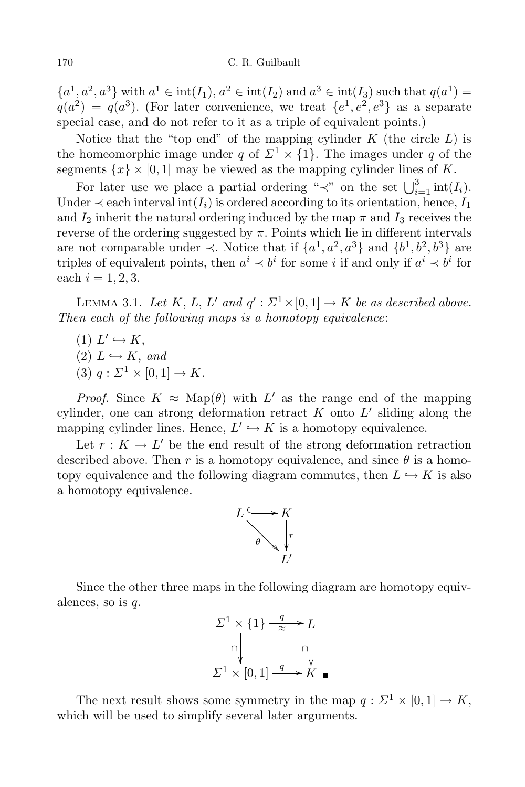${a^1, a^2, a^3}$  with  $a^1 \in \text{int}(I_1), a^2 \in \text{int}(I_2)$  and  $a^3 \in \text{int}(I_3)$  such that  $q(a^1) =$  $q(a^2) = q(a^3)$ . (For later convenience, we treat  $\{e^1, e^2, e^3\}$  as a separate special case, and do not refer to it as a triple of equivalent points.)

Notice that the "top end" of the mapping cylinder *K* (the circle *L*) is the homeomorphic image under *q* of  $\Sigma^1 \times \{1\}$ . The images under *q* of the segments  $\{x\} \times [0,1]$  may be viewed as the mapping cylinder lines of K.

For later use we place a partial ordering " $\prec$ " on the set  $\bigcup_{i=1}^{3} \text{int}(I_i)$ . Under  $\prec$  each interval int $(I_i)$  is ordered according to its orientation, hence,  $I_1$ and  $I_2$  inherit the natural ordering induced by the map  $\pi$  and  $I_3$  receives the reverse of the ordering suggested by  $\pi$ . Points which lie in different intervals are not comparable under  $\prec$ . Notice that if  $\{a^1, a^2, a^3\}$  and  $\{b^1, b^2, b^3\}$  are triples of equivalent points, then  $a^i \prec b^i$  for some *i* if and only if  $a^i \prec b^i$  for each  $i = 1, 2, 3$ .

LEMMA 3.1. *Let*  $K$ ,  $L$ ,  $L'$  *and*  $q'$ :  $\Sigma^1 \times [0,1] \rightarrow K$  *be as described above. Then each of the following maps is a homotopy equivalence*:

- $(L) L' \hookrightarrow K$ ,
- $(2) L \hookrightarrow K$ , *and*
- $(3)$   $q: \Sigma^1 \times [0, 1] \to K$ .

*Proof.* Since  $K \approx \text{Map}(\theta)$  with  $L'$  as the range end of the mapping cylinder, one can strong deformation retract  $K$  onto  $L'$  sliding along the mapping cylinder lines. Hence,  $L' \hookrightarrow K$  is a homotopy equivalence.

Let  $r: K \to L'$  be the end result of the strong deformation retraction described above. Then *r* is a homotopy equivalence, and since  $\theta$  is a homotopy equivalence and the following diagram commutes, then  $L \hookrightarrow K$  is also a homotopy equivalence.



Since the other three maps in the following diagram are homotopy equivalences, so is *q*.



The next result shows some symmetry in the map  $q : \Sigma^1 \times [0,1] \to K$ , which will be used to simplify several later arguments.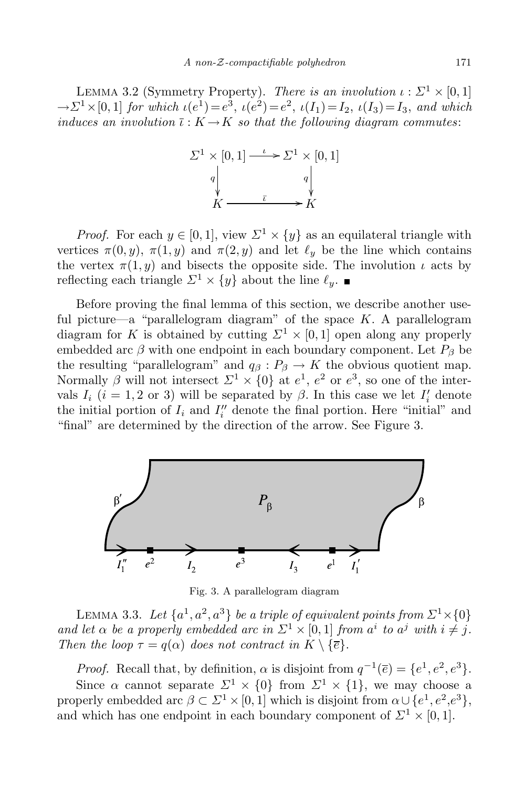LEMMA 3.2 (Symmetry Property). *There is an involution*  $\iota : \Sigma^1 \times [0,1]$  $\rightarrow$   $\Sigma$ <sup>1</sup> × [0, 1] *for which ι*(*e*<sup>1</sup>)=*e*<sup>2</sup>, *ι*(*e*<sup>2</sup>)=*e*<sup>2</sup>, *ι*(*I*<sub>1</sub>)=*I*<sub>2</sub>, *ι*(*I*<sub>3</sub>)=*I*<sub>3</sub>, *and which induces an involution*  $\overline{\iota}: K \to K$  *so that the following diagram commutes:* 



*Proof.* For each  $y \in [0,1]$ , view  $\Sigma^1 \times \{y\}$  as an equilateral triangle with vertices  $\pi(0, y)$ ,  $\pi(1, y)$  and  $\pi(2, y)$  and let  $\ell_y$  be the line which contains the vertex  $\pi(1, y)$  and bisects the opposite side. The involution *ι* acts by reflecting each triangle  $\Sigma^1 \times \{y\}$  about the line  $\ell_y$ .

Before proving the final lemma of this section, we describe another useful picture—a "parallelogram diagram" of the space *K*. A parallelogram diagram for *K* is obtained by cutting  $\Sigma^1 \times [0,1]$  open along any properly embedded arc  $\beta$  with one endpoint in each boundary component. Let  $P_\beta$  be the resulting "parallelogram" and  $q_\beta$ :  $P_\beta \to K$  the obvious quotient map. Normally  $\beta$  will not intersect  $\Sigma^1 \times \{0\}$  at  $e^1$ ,  $e^2$  or  $e^3$ , so one of the intervals  $I_i$  ( $i = 1, 2$  or 3) will be separated by  $\beta$ . In this case we let  $I'_i$  denote the initial portion of  $I_i$  and  $I''_i$  denote the final portion. Here "initial" and "final" are determined by the direction of the arrow. See Figure 3.



Fig. 3. A parallelogram diagram

LEMMA 3.3. Let  $\{a^1, a^2, a^3\}$  be a triple of equivalent points from  $\mathcal{L}^1 \times \{0\}$ and let  $\alpha$  be a properly embedded arc in  $\Sigma^1 \times [0,1]$  from  $a^i$  to  $a^j$  with  $i \neq j$ . *Then the loop*  $\tau = q(\alpha)$  *does not contract in*  $K \setminus {\overline{\epsilon}}$ .

*Proof.* Recall that, by definition,  $\alpha$  is disjoint from  $q^{-1}(\overline{e}) = \{e^1, e^2, e^3\}.$ Since  $\alpha$  cannot separate  $\Sigma^1 \times \{0\}$  from  $\Sigma^1 \times \{1\}$ , we may choose a properly embedded arc  $\beta \subset \Sigma^1 \times [0, 1]$  which is disjoint from  $\alpha \cup \{e^1, e^2, e^3\}$ , and which has one endpoint in each boundary component of  $\Sigma^1 \times [0, 1]$ .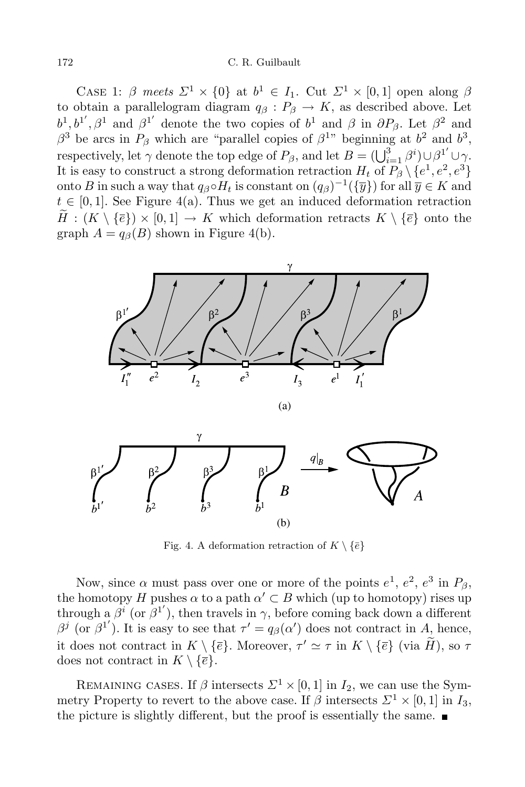CASE 1:  $\beta$  meets  $\Sigma^1 \times \{0\}$  at  $b^1 \in I_1$ . Cut  $\Sigma^1 \times [0,1]$  open along  $\beta$ to obtain a parallelogram diagram  $q_{\beta}: P_{\beta} \to K$ , as described above. Let  $b^1, b^1', \beta^1$  and  $\beta^1'$  denote the two copies of  $b^1$  and  $\beta$  in  $\partial P_\beta$ . Let  $\beta^2$  and  $\beta^3$  be arcs in  $P_\beta$  which are "parallel copies of  $\beta^{1}$ " beginning at  $b^2$  and  $b^3$ , respectively, let  $\gamma$  denote the top edge of  $P_\beta$ , and let  $B = (\bigcup_{i=1}^3 \beta^i) \cup \beta^1' \cup \gamma$ . It is easy to construct a strong deformation retraction  $H_t$  of  $P_\beta \setminus \{e^1, e^2, e^3\}$ onto *B* in such a way that  $q_{\beta} \circ H_t$  is constant on  $(q_{\beta})^{-1}(\{\overline{y}\})$  for all  $\overline{y} \in K$  and  $t \in [0, 1]$ . See Figure 4(a). Thus we get an induced deformation retraction  $H : (K \setminus \{\overline{e}\}) \times [0,1] \to K$  which deformation retracts  $K \setminus \{\overline{e}\}$  onto the graph  $A = q_\beta(B)$  shown in Figure 4(b).



Fig. 4. A deformation retraction of  $K \setminus \{\bar{e}\}$ 

Now, since  $\alpha$  must pass over one or more of the points  $e^1$ ,  $e^2$ ,  $e^3$  in  $P_\beta$ , the homotopy *H* pushes  $\alpha$  to a path  $\alpha' \subset B$  which (up to homotopy) rises up through a  $\beta^i$  (or  $\beta^{1'}$ ), then travels in  $\gamma$ , before coming back down a different *β*<sup>*j*</sup> (or *β*<sup>1'</sup>). It is easy to see that  $τ' = q<sub>β</sub>(α')$  does not contract in *A*, hence, it does not contract in  $K \setminus {\bar{e}}$ . Moreover,  $\tau' \simeq \tau$  in  $K \setminus {\bar{e}}$  (via *H*), so  $\tau$ does not contract in  $K \setminus {\overline{e}}$ .

REMAINING CASES. If  $\beta$  intersects  $\Sigma^1 \times [0,1]$  in  $I_2$ , we can use the Symmetry Property to revert to the above case. If  $\beta$  intersects  $\Sigma^1 \times [0,1]$  in  $I_3$ , the picture is slightly different, but the proof is essentially the same.  $\blacksquare$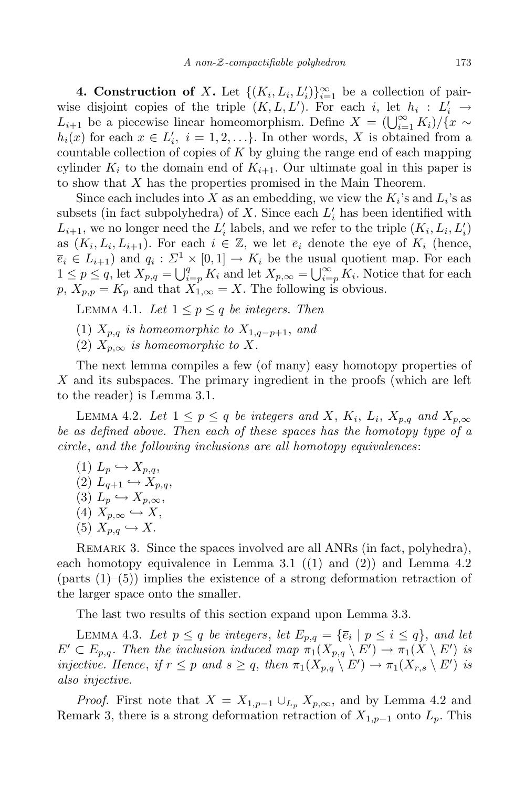**4. Construction of** *X***.** Let  $\{(K_i, L_i, L'_i)\}_{i=1}^{\infty}$  be a collection of pairwise disjoint copies of the triple  $(K, L, L')$ . For each *i*, let  $h_i : L'_i \rightarrow$ *L*<sub>*i*+1</sub> be a piecewise linear homeomorphism. Define  $X = \left(\bigcup_{i=1}^{\infty} K_i\right) / \left\{x \sim x_i\right\}$  $h_i(x)$  for each  $x \in L'_i$ ,  $i = 1, 2, \ldots$ }. In other words, *X* is obtained from a countable collection of copies of *K* by gluing the range end of each mapping cylinder  $K_i$  to the domain end of  $K_{i+1}$ . Our ultimate goal in this paper is to show that *X* has the properties promised in the Main Theorem.

Since each includes into *X* as an embedding, we view the  $K_i$ 's and  $L_i$ 's as subsets (in fact subpolyhedra) of *X*. Since each  $L'_{i}$  has been identified with  $L_{i+1}$ , we no longer need the  $L'_{i}$  labels, and we refer to the triple  $(K_{i}, L_{i}, L'_{i})$ as  $(K_i, L_i, L_{i+1})$ . For each  $i \in \mathbb{Z}$ , we let  $\overline{e}_i$  denote the eye of  $K_i$  (hence,  $\overline{e}_i \in L_{i+1}$ ) and  $q_i: \Sigma^1 \times [0,1] \to K_i$  be the usual quotient map. For each  $1 \leq p \leq q$ , let  $X_{p,q} = \bigcup_{i=p}^{q} K_i$  and let  $X_{p,\infty} = \bigcup_{i=p}^{\infty} K_i$ . Notice that for each  $p, X_{p,p} = K_p$  and that  $X_{1,\infty} = X$ . The following is obvious.

LEMMA 4.1. Let  $1 \leq p \leq q$  be integers. Then

- (1)  $X_{p,q}$  *is homeomorphic to*  $X_{1,q-p+1}$ *, and*
- (2)  $X_{p,\infty}$  *is homeomorphic to X.*

The next lemma compiles a few (of many) easy homotopy properties of *X* and its subspaces. The primary ingredient in the proofs (which are left to the reader) is Lemma 3.1.

LEMMA 4.2. Let  $1 \leq p \leq q$  be integers and X,  $K_i$ ,  $L_i$ ,  $X_{p,q}$  and  $X_{p,\infty}$ *be as defined above. Then each of these spaces has the homotopy type of a circle*, *and the following inclusions are all homotopy equivalences*:

 $(1)$   $L_p \hookrightarrow X_{p,q}$  $(2)$   $L_{q+1} \hookrightarrow X_{p,q}$  $(3)$   $L_p \hookrightarrow X_{p,\infty}$ ,  $(X_p, \infty \hookrightarrow X,$  $(5)$   $X_{p,q} \hookrightarrow X$ .

REMARK 3. Since the spaces involved are all ANRs (in fact, polyhedra), each homotopy equivalence in Lemma 3.1 ((1) and (2)) and Lemma 4.2 (parts  $(1)$ – $(5)$ ) implies the existence of a strong deformation retraction of the larger space onto the smaller.

The last two results of this section expand upon Lemma 3.3.

LEMMA 4.3. Let  $p \le q$  be integers, let  $E_{p,q} = \{\overline{e}_i \mid p \le i \le q\}$ , and let  $E' \subset E_{p,q}$ . Then the inclusion induced map  $\pi_1(X_{p,q} \setminus E') \to \pi_1(X \setminus E')$  is injective. Hence, if  $r \leq p$  and  $s \geq q$ , then  $\pi_1(X_{p,q} \setminus E') \to \pi_1(X_{r,s} \setminus E')$  is *also injective.*

*Proof.* First note that  $X = X_{1,p-1} \cup L_p X_{p,\infty}$ , and by Lemma 4.2 and Remark 3, there is a strong deformation retraction of  $X_{1,p-1}$  onto  $L_p$ . This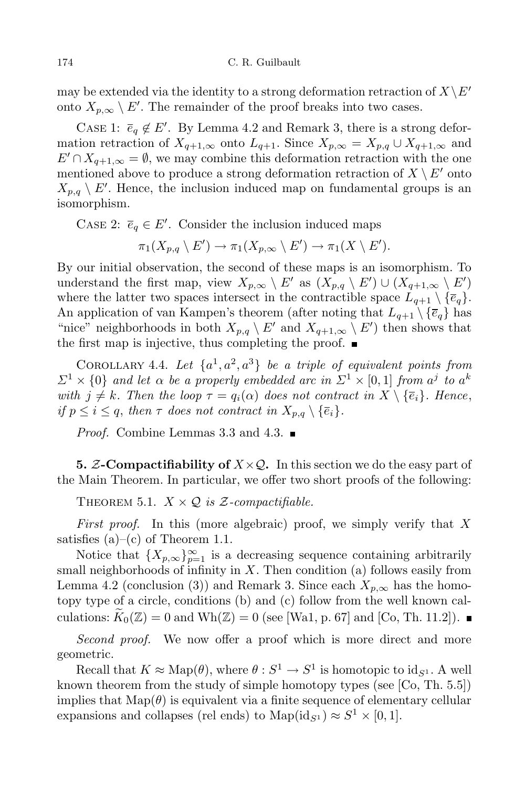may be extended via the identity to a strong deformation retraction of  $X\backslash E'$ onto  $X_{p,\infty} \setminus E'$ . The remainder of the proof breaks into two cases.

CASE 1:  $\overline{e}_q \notin E'$ . By Lemma 4.2 and Remark 3, there is a strong deformation retraction of  $X_{q+1,\infty}$  onto  $L_{q+1}$ . Since  $X_{p,\infty} = X_{p,q} \cup X_{q+1,\infty}$  and  $E' \cap X_{q+1,\infty} = \emptyset$ , we may combine this deformation retraction with the one mentioned above to produce a strong deformation retraction of  $X \setminus E'$  onto  $X_{p,q} \setminus E'$ . Hence, the inclusion induced map on fundamental groups is an isomorphism.

CASE 2:  $\overline{e}_q \in E'$ . Consider the inclusion induced maps

$$
\pi_1(X_{p,q} \setminus E') \to \pi_1(X_{p,\infty} \setminus E') \to \pi_1(X \setminus E').
$$

By our initial observation, the second of these maps is an isomorphism. To understand the first map, view  $X_{p,\infty} \setminus E'$  as  $(X_{p,q} \setminus E') \cup (X_{q+1,\infty} \setminus E')$ where the latter two spaces intersect in the contractible space  $L_{q+1} \setminus {\bar{e}_q}$ . An application of van Kampen's theorem (after noting that  $L_{q+1} \setminus {\bar{e}_q}$  has "nice" neighborhoods in both  $X_{p,q} \setminus E'$  and  $X_{q+1,\infty} \setminus E'$  then shows that the first map is injective, thus completing the proof.  $\blacksquare$ 

COROLLARY 4.4. Let  $\{a^1, a^2, a^3\}$  be a triple of equivalent points from  $\Sigma^1 \times \{0\}$  and let  $\alpha$  be a properly embedded arc in  $\Sigma^1 \times [0,1]$  from  $a^j$  to  $a^k$ with  $j \neq k$ . Then the loop  $\tau = q_i(\alpha)$  does not contract in  $X \setminus {\overline{e_i}}$ . Hence, *if*  $p \leq i \leq q$ , *then*  $\tau$  *does not contract in*  $X_{p,q} \setminus {\overline{e_i}}$ .

*Proof.* Combine Lemmas 3.3 and 4.3. ■

**5.** *Z***-Compactifiability of** *X×Q***.** In this section we do the easy part of the Main Theorem. In particular, we offer two short proofs of the following:

THEOREM 5.1.  $X \times Q$  *is*  $Z$ *-compactifiable.* 

*First proof.* In this (more algebraic) proof, we simply verify that *X* satisfies  $(a)$ – $(c)$  of Theorem 1.1.

Notice that  $\{X_{p,\infty}\}_{p=1}^{\infty}$  is a decreasing sequence containing arbitrarily small neighborhoods of infinity in *X*. Then condition (a) follows easily from Lemma 4.2 (conclusion (3)) and Remark 3. Since each  $X_{p,\infty}$  has the homotopy type of a circle, conditions (b) and (c) follow from the well known calculations:  $\widetilde{K}_0(\mathbb{Z}) = 0$  and  $Wh(\mathbb{Z}) = 0$  (see [Wa1, p. 67] and [Co, Th. 11.2]).

*Second proof.* We now offer a proof which is more direct and more geometric.

Recall that  $K \approx \text{Map}(\theta)$ , where  $\theta : S^1 \to S^1$  is homotopic to  $\text{id}_{S^1}$ . A well known theorem from the study of simple homotopy types (see [Co, Th. 5.5]) implies that  $\text{Map}(\theta)$  is equivalent via a finite sequence of elementary cellular expansions and collapses (rel ends) to  $\text{Map}(\text{id}_{S^1}) \approx S^1 \times [0, 1].$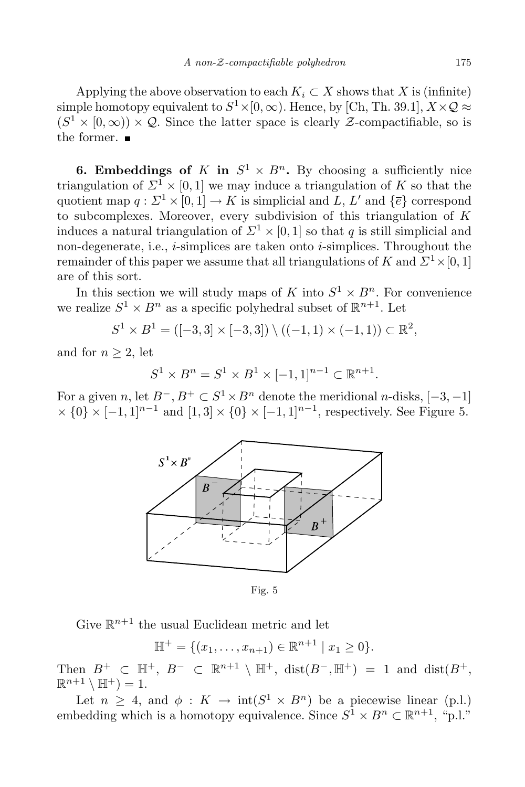Applying the above observation to each  $K_i \subset X$  shows that *X* is (infinite) simple homotopy equivalent to  $S^1 \times [0, \infty)$ . Hence, by [Ch, Th. 39.1],  $X \times Q \approx$  $(S^1 \times [0, \infty)) \times Q$ . Since the latter space is clearly *Z*-compactifiable, so is the former.  $\blacksquare$ 

**6. Embeddings of**  $K$  **in**  $S^1 \times B^n$ . By choosing a sufficiently nice triangulation of  $\Sigma^1 \times [0,1]$  we may induce a triangulation of *K* so that the quotient map  $q: \Sigma^1 \times [0,1] \to K$  is simplicial and  $L, L'$  and  $\{\overline{e}\}$  correspond to subcomplexes. Moreover, every subdivision of this triangulation of *K* induces a natural triangulation of  $\mathbb{Z}^1 \times [0,1]$  so that *q* is still simplicial and non-degenerate, i.e., *i*-simplices are taken onto *i*-simplices. Throughout the remainder of this paper we assume that all triangulations of *K* and  $\Sigma^1 \times [0, 1]$ are of this sort.

In this section we will study maps of *K* into  $S^1 \times B^n$ . For convenience we realize  $S^1 \times B^n$  as a specific polyhedral subset of  $\mathbb{R}^{n+1}$ . Let

 $S^1 \times B^1 = ([-3, 3] \times [-3, 3]) \setminus ((-1, 1) \times (-1, 1)) \subset \mathbb{R}^2$ ,

and for  $n \geq 2$ , let

 $S^1 \times B^n = S^1 \times B^1 \times [-1,1]^{n-1} \subset \mathbb{R}^{n+1}$ .

For a given *n*, let  $B^-$ ,  $B^+ \subset S^1 \times B^n$  denote the meridional *n*-disks,  $[-3, -1]$ *<sup>×</sup> {*0*} <sup>×</sup>* [*−*1*,* 1]*n−*<sup>1</sup> and [1*,* 3] *<sup>×</sup> {*0*} <sup>×</sup>* [*−*1*,* 1]*n−*<sup>1</sup> , respectively. See Figure 5.



Fig. 5

Give  $\mathbb{R}^{n+1}$  the usual Euclidean metric and let

 $\mathbb{H}^+ = \{ (x_1, \ldots, x_{n+1}) \in \mathbb{R}^{n+1} \mid x_1 \geq 0 \}.$ 

Then  $B^+ \subset \mathbb{H}^+, B^- \subset \mathbb{R}^{n+1} \setminus \mathbb{H}^+, \text{ dist}(B^-, \mathbb{H}^+) = 1 \text{ and } \text{ dist}(B^+,$  $\mathbb{R}^{n+1} \setminus \mathbb{H}^+$ ) = 1.

Let  $n \geq 4$ , and  $\phi : K \to \text{int}(S^1 \times B^n)$  be a piecewise linear (p.l.) embedding which is a homotopy equivalence. Since  $S^1 \times B^n \subset \mathbb{R}^{n+1}$ , "p.l."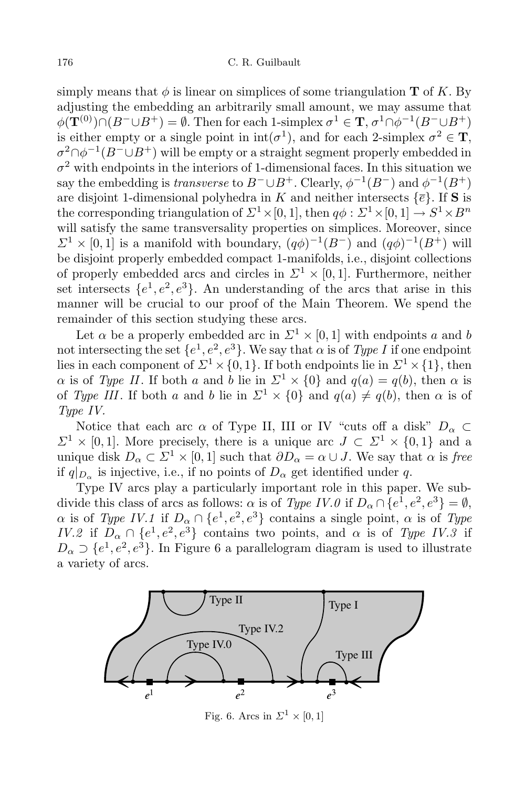simply means that  $\phi$  is linear on simplices of some triangulation **T** of K. By adjusting the embedding an arbitrarily small amount, we may assume that  $\phi(\mathbf{T}^{(0)}) \cap (B^{-} \cup B^{+}) = \emptyset$ . Then for each 1-simplex  $\sigma^{1} \in \mathbf{T}$ ,  $\sigma^{1} \cap \phi^{-1}(B^{-} \cup B^{+})$ is either empty or a single point in  $\text{int}(\sigma^1)$ , and for each 2-simplex  $\sigma^2 \in \mathbf{T}$ ,  $\sigma^2 \cap \phi^{-1}(B^- \cup B^+)$  will be empty or a straight segment properly embedded in  $\sigma^2$  with endpoints in the interiors of 1-dimensional faces. In this situation we say the embedding is *transverse* to  $B^- \cup B^+$ . Clearly,  $\phi^{-1}(B^-)$  and  $\phi^{-1}(B^+)$ are disjoint 1-dimensional polyhedra in *K* and neither intersects  $\{\bar{e}\}\$ . If **S** is the corresponding triangulation of  $\Sigma^1 \times [0,1]$ , then  $q\phi : \Sigma^1 \times [0,1] \to S^1 \times B^n$ will satisfy the same transversality properties on simplices. Moreover, since  $\mathcal{L}^1 \times [0,1]$  is a manifold with boundary,  $(q\phi)^{-1}(B^-)$  and  $(q\phi)^{-1}(B^+)$  will be disjoint properly embedded compact 1-manifolds, i.e., disjoint collections of properly embedded arcs and circles in  $\Sigma^1 \times [0,1]$ . Furthermore, neither set intersects  $\{e^1, e^2, e^3\}$ . An understanding of the arcs that arise in this manner will be crucial to our proof of the Main Theorem. We spend the remainder of this section studying these arcs.

Let  $\alpha$  be a properly embedded arc in  $\Sigma^1 \times [0, 1]$  with endpoints  $a$  and  $b$ not intersecting the set  $\{e^1, e^2, e^3\}$ . We say that  $\alpha$  is of *Type I* if one endpoint lies in each component of  $\mathbb{Z}^1 \times \{0, 1\}$ . If both endpoints lie in  $\mathbb{Z}^1 \times \{1\}$ , then *α* is of *Type II*. If both *a* and *b* lie in  $\Sigma^1 \times \{0\}$  and  $q(a) = q(b)$ , then *α* is of *Type III*. If both *a* and *b* lie in  $\Sigma^1 \times \{0\}$  and  $q(a) \neq q(b)$ , then  $\alpha$  is of *Type IV.*

Notice that each arc  $\alpha$  of Type II, III or IV "cuts off a disk"  $D_{\alpha} \subset$  $\Sigma$ <sup>1</sup> × [0, 1]. More precisely, there is a unique arc  $J \subset \Sigma$ <sup>1</sup> × {0, 1} and a unique disk  $D_{\alpha} \subset \Sigma^1 \times [0, 1]$  such that  $\partial D_{\alpha} = \alpha \cup J$ . We say that  $\alpha$  is free if  $q|_{D_{\alpha}}$  is injective, i.e., if no points of  $D_{\alpha}$  get identified under *q*.

Type IV arcs play a particularly important role in this paper. We subdivide this class of arcs as follows:  $\alpha$  is of *Type IV.0* if  $D_{\alpha} \cap \{e^1, e^2, e^3\} = \emptyset$ ,  $\alpha$  is of *Type IV.1* if  $D_{\alpha} \cap \{e^1, e^2, e^3\}$  contains a single point,  $\alpha$  is of *Type IV.2* if  $D_{\alpha} \cap \{e^1, e^2, e^3\}$  contains two points, and  $\alpha$  is of *Type IV.3* if  $D_{\alpha} \supset \{e^1, e^2, e^3\}$ . In Figure 6 a parallelogram diagram is used to illustrate a variety of arcs.



Fig. 6. Arcs in  $\Sigma^1 \times [0,1]$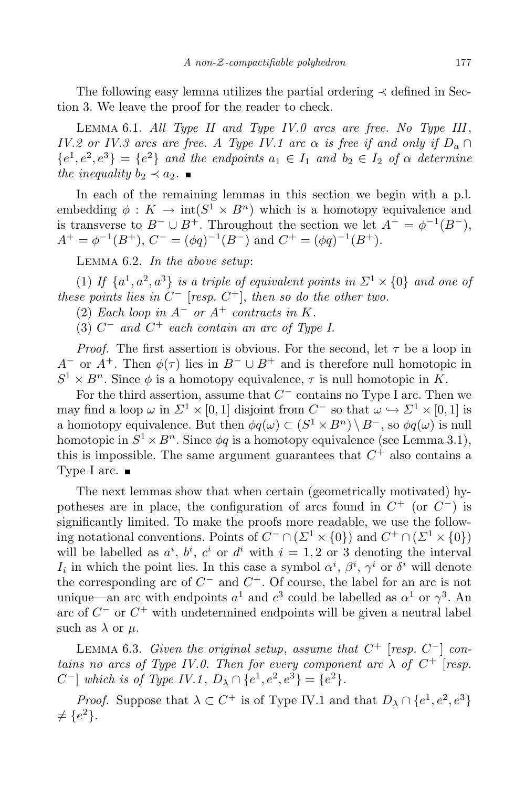The following easy lemma utilizes the partial ordering *≺* defined in Section 3. We leave the proof for the reader to check.

Lemma 6.1. *All Type II and Type IV.0 arcs are free. No Type III*, *IV.2 or IV.3 arcs are free. A Type IV.1 arc*  $\alpha$  *is free if and only if*  $D_a \cap D$  ${e<sup>1</sup>, e<sup>2</sup>, e<sup>3</sup>} = {e<sup>2</sup>}$  and the endpoints  $a_1 \in I_1$  and  $b_2 \in I_2$  of  $\alpha$  determine *the inequality*  $b_2 \prec a_2$ .

In each of the remaining lemmas in this section we begin with a p.l. embedding  $\phi: K \to \text{int}(S^1 \times B^n)$  which is a homotopy equivalence and is transverse to  $B^- \cup B^+$ . Throughout the section we let  $A^- = \phi^{-1}(B^-)$ ,  $A^+ = \phi^{-1}(B^+), C^- = (\phi q)^{-1}(B^-)$  and  $C^+ = (\phi q)^{-1}(B^+).$ 

Lemma 6.2. *In the above setup*:

(1) If  $\{a^1, a^2, a^3\}$  is a triple of equivalent points in  $\Sigma^1 \times \{0\}$  and one of *these points lies in*  $C^-$  [*resp.*  $C^+$ ], *then so do the other two.* 

(2) *Each loop in*  $A^-$  *or*  $A^+$  *contracts in*  $K$ *.* 

 $(3)$   $C^-$  and  $C^+$  each contain an arc of Type I.

*Proof.* The first assertion is obvious. For the second, let *τ* be a loop in *A*<sup>−</sup> or  $A$ <sup>+</sup>. Then  $\phi(\tau)$  lies in  $B$ <sup>−</sup>  $\cup$  *B*<sup>+</sup> and is therefore null homotopic in  $S^1 \times B^n$ . Since  $\phi$  is a homotopy equivalence,  $\tau$  is null homotopic in *K*.

For the third assertion, assume that *C <sup>−</sup>* contains no Type I arc. Then we may find a loop  $\omega$  in  $\Sigma^1 \times [0,1]$  disjoint from  $C^-$  so that  $\omega \hookrightarrow \Sigma^1 \times [0,1]$  is a homotopy equivalence. But then  $\phi q(\omega) \subset (S^1 \times B^n) \setminus B^-$ , so  $\phi q(\omega)$  is null homotopic in  $S^1 \times B^n$ . Since  $\phi q$  is a homotopy equivalence (see Lemma 3.1), this is impossible. The same argument guarantees that  $C^+$  also contains a Type I arc.  $\blacksquare$ 

The next lemmas show that when certain (geometrically motivated) hypotheses are in place, the configuration of arcs found in *C* <sup>+</sup> (or *C −*) is significantly limited. To make the proofs more readable, we use the following notational conventions. Points of  $C^- \cap (\Sigma^1 \times \{0\})$  and  $C^+ \cap (\Sigma^1 \times \{0\})$ will be labelled as  $a^i$ ,  $b^i$ ,  $c^i$  or  $d^i$  with  $i = 1, 2$  or 3 denoting the interval *I<sub>i</sub>* in which the point lies. In this case a symbol  $\alpha^i$ ,  $\beta^i$ ,  $\gamma^i$  or  $\delta^i$  will denote the corresponding arc of *C <sup>−</sup>* and *C* <sup>+</sup>. Of course, the label for an arc is not unique—an arc with endpoints  $a^1$  and  $c^3$  could be labelled as  $\alpha^1$  or  $\gamma^3$ . An arc of *C <sup>−</sup>* or *C* <sup>+</sup> with undetermined endpoints will be given a neutral label such as  $\lambda$  or  $\mu$ .

LEMMA 6.3. *Given the original setup, assume that*  $C^+$  [*resp.*  $C^-$ ] *contains no arcs of Type IV.0. Then for every component arc*  $\lambda$  *of*  $C^+$  [*resp. C*<sup>-</sup> $]$  *which is of Type IV.1*,  $D_{\lambda} \cap \{e^{1}, e^{2}, e^{3}\} = \{e^{2}\}.$ 

*Proof.* Suppose that  $\lambda \subset C^+$  is of Type IV.1 and that  $D_\lambda \cap \{e^1, e^2, e^3\}$  $\neq \{e^2\}.$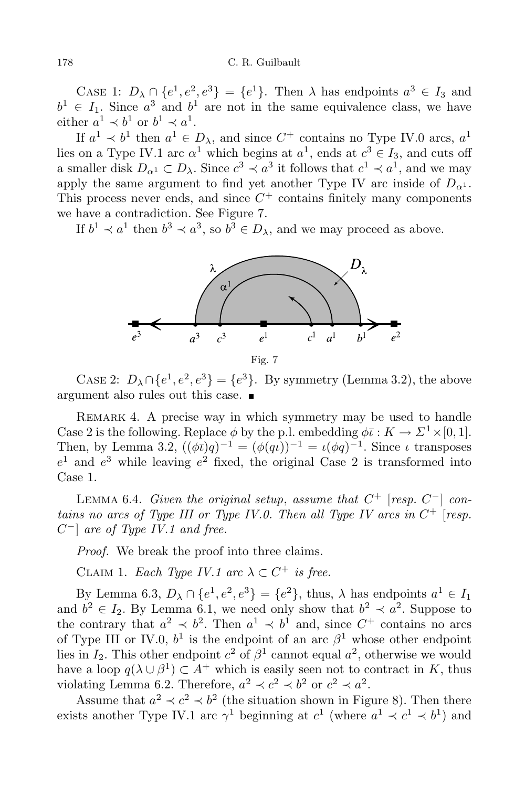CASE 1:  $D_{\lambda} \cap \{e^1, e^2, e^3\} = \{e^1\}$ . Then  $\lambda$  has endpoints  $a^3 \in I_3$  and  $b^1 \in I_1$ . Since  $a^3$  and  $b^1$  are not in the same equivalence class, we have either  $a^1 \prec b^1$  or  $b^1 \prec a^1$ .

If  $a^1 \nless b^1$  then  $a^1 \in D_\lambda$ , and since  $C^+$  contains no Type IV.0 arcs,  $a^1$ lies on a Type IV.1 arc  $\alpha^1$  which begins at  $a^1$ , ends at  $c^3 \in I_3$ , and cuts off a smaller disk  $D_{\alpha^1} \subset D_{\lambda}$ . Since  $c^3 \prec a^3$  it follows that  $c^1 \prec a^1$ , and we may apply the same argument to find yet another Type IV arc inside of  $D_{\alpha^1}$ . This process never ends, and since  $C^+$  contains finitely many components we have a contradiction. See Figure 7.

If  $b^1 \prec a^1$  then  $b^3 \prec a^3$ , so  $b^3 \in D_\lambda$ , and we may proceed as above.



CASE 2:  $D_{\lambda} \cap \{e^{1}, e^{2}, e^{3}\} = \{e^{3}\}.$  By symmetry (Lemma 3.2), the above argument also rules out this case.

REMARK 4. A precise way in which symmetry may be used to handle Case 2 is the following. Replace  $\phi$  by the p.l. embedding  $\phi \bar{\iota}: K \to \Sigma^1 \times [0, 1].$ Then, by Lemma 3.2,  $((\phi \bar{\iota})q)^{-1} = (\phi(q\iota))^{-1} = \iota(\phi q)^{-1}$ . Since  $\iota$  transposes  $e^1$  and  $e^3$  while leaving  $e^2$  fixed, the original Case 2 is transformed into Case 1.

LEMMA 6.4. *Given the original setup, assume that*  $C^+$  [*resp.*  $C^-$ ] *contains no arcs of Type III or Type IV.0. Then all Type IV arcs in C* <sup>+</sup> [*resp. C −*] *are of Type IV.1 and free.*

*Proof.* We break the proof into three claims.

CLAIM 1. *Each Type IV.1 arc*  $\lambda \subset C^+$  *is free.* 

 $\text{By Lemma 6.3, } D_{\lambda} \cap \{e^{1}, e^{2}, e^{3}\} = \{e^{2}\}, \text{ thus, } \lambda \text{ has endpoints } a^{1} \in I_{1}$ and  $b^2 \in I_2$ . By Lemma 6.1, we need only show that  $b^2 \prec a^2$ . Suppose to the contrary that  $a^2 \prec b^2$ . Then  $a^1 \prec b^1$  and, since  $C^+$  contains no arcs of Type III or IV.0,  $b^1$  is the endpoint of an arc  $\beta^1$  whose other endpoint lies in  $I_2$ . This other endpoint  $c^2$  of  $\beta^1$  cannot equal  $a^2$ , otherwise we would have a loop  $q(\lambda \cup \beta^1) \subset A^+$  which is easily seen not to contract in *K*, thus violating Lemma 6.2. Therefore,  $a^2 \prec c^2 \prec b^2$  or  $c^2 \prec a^2$ .

Assume that  $a^2 \prec c^2 \prec b^2$  (the situation shown in Figure 8). Then there exists another Type IV.1 arc  $\gamma^1$  beginning at  $c^1$  (where  $a^1 \prec c^1 \prec b^1$ ) and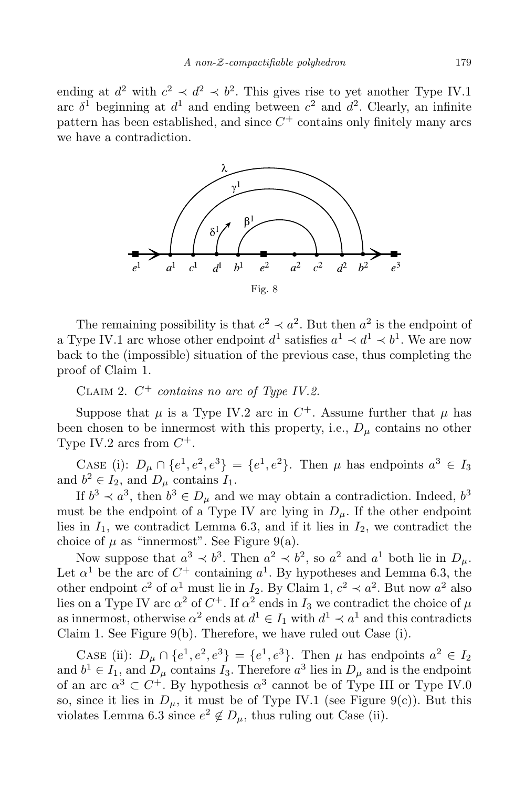ending at  $d^2$  with  $c^2 \prec d^2 \prec b^2$ . This gives rise to yet another Type IV.1 arc  $\delta^1$  beginning at  $d^1$  and ending between  $c^2$  and  $d^2$ . Clearly, an infinite pattern has been established, and since  $C^+$  contains only finitely many arcs we have a contradiction.



The remaining possibility is that  $c^2 \prec a^2$ . But then  $a^2$  is the endpoint of a Type IV.1 arc whose other endpoint  $d^1$  satisfies  $a^1 \prec d^1 \prec b^1$ . We are now back to the (impossible) situation of the previous case, thus completing the proof of Claim 1.

Claim 2. *C* <sup>+</sup> *contains no arc of Type IV.2.*

Suppose that  $\mu$  is a Type IV.2 arc in  $C^+$ . Assume further that  $\mu$  has been chosen to be innermost with this property, i.e.,  $D_{\mu}$  contains no other Type IV.2 arcs from  $C^+$ .

CASE (i):  $D_{\mu} \cap \{e^1, e^2, e^3\} = \{e^1, e^2\}$ . Then  $\mu$  has endpoints  $a^3 \in I_3$ and  $b^2 \in I_2$ , and  $D_\mu$  contains  $I_1$ .

If  $b^3 \prec a^3$ , then  $b^3 \in D_\mu$  and we may obtain a contradiction. Indeed,  $b^3$ must be the endpoint of a Type IV arc lying in  $D_\mu$ . If the other endpoint lies in  $I_1$ , we contradict Lemma 6.3, and if it lies in  $I_2$ , we contradict the choice of  $\mu$  as "innermost". See Figure 9(a).

Now suppose that  $a^3 \prec b^3$ . Then  $a^2 \prec b^2$ , so  $a^2$  and  $a^1$  both lie in  $D_\mu$ . Let  $\alpha^1$  be the arc of  $C^+$  containing  $a^1$ . By hypotheses and Lemma 6.3, the other endpoint  $c^2$  of  $\alpha^1$  must lie in *I*<sub>2</sub>. By Claim 1,  $c^2 \prec a^2$ . But now  $a^2$  also lies on a Type IV arc  $\alpha^2$  of  $C^+$ . If  $\alpha^2$  ends in  $I_3$  we contradict the choice of  $\mu$ as innermost, otherwise  $\alpha^2$  ends at  $d^1 \in I_1$  with  $d^1 \prec a^1$  and this contradicts Claim 1. See Figure 9(b). Therefore, we have ruled out Case (i).

CASE (ii):  $D_{\mu} \cap \{e^1, e^2, e^3\} = \{e^1, e^3\}$ . Then  $\mu$  has endpoints  $a^2 \in I_2$ and  $b^1 \in I_1$ , and  $D_\mu$  contains  $I_3$ . Therefore  $a^3$  lies in  $D_\mu$  and is the endpoint of an arc  $\alpha^3 \subset C^+$ . By hypothesis  $\alpha^3$  cannot be of Type III or Type IV.0 so, since it lies in  $D_\mu$ , it must be of Type IV.1 (see Figure 9(c)). But this violates Lemma 6.3 since  $e^2 \notin D_\mu$ , thus ruling out Case (ii).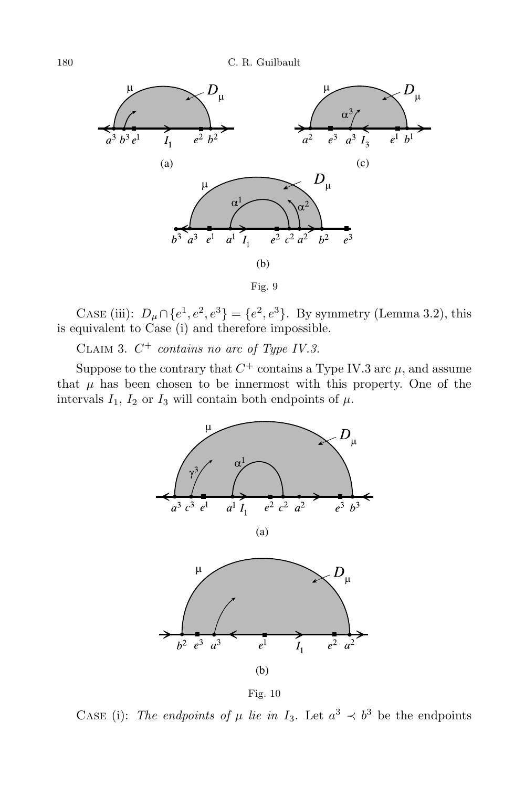



CASE (iii):  $D_{\mu} \cap \{e^1, e^2, e^3\} = \{e^2, e^3\}$ . By symmetry (Lemma 3.2), this is equivalent to Case (i) and therefore impossible.

Claim 3. *C* <sup>+</sup> *contains no arc of Type IV.3.*

Suppose to the contrary that  $C^+$  contains a Type IV.3 arc  $\mu$ , and assume that  $\mu$  has been chosen to be innermost with this property. One of the intervals  $I_1$ ,  $I_2$  or  $I_3$  will contain both endpoints of  $\mu$ .





CASE (i): *The endpoints of*  $\mu$  *lie in*  $I_3$ . Let  $a^3 \prec b^3$  be the endpoints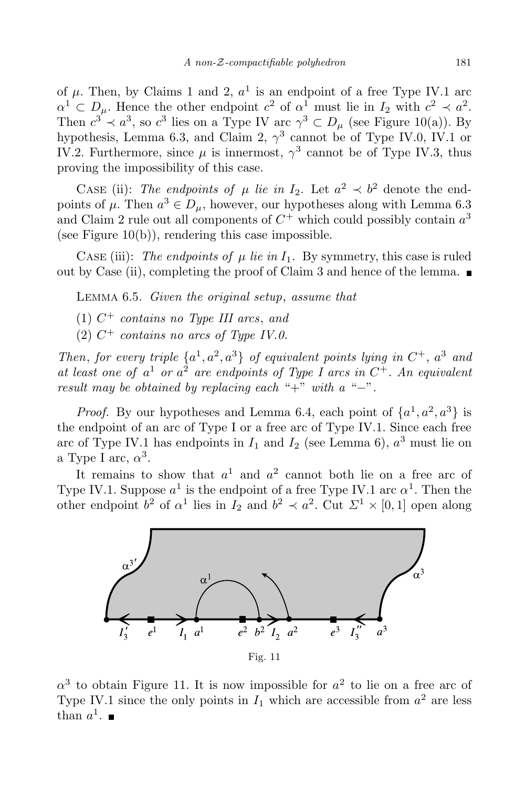of  $\mu$ . Then, by Claims 1 and 2,  $a^1$  is an endpoint of a free Type IV.1 arc  $\alpha^1 \subset D_\mu$ . Hence the other endpoint *c*<sup>2</sup> of  $\alpha^1$  must lie in *I*<sub>2</sub> with  $c^2 \prec a^2$ . Then  $c^3 \prec a^3$ , so  $c^3$  lies on a Type IV arc  $\gamma^3 \subset D_\mu$  (see Figure 10(a)). By hypothesis, Lemma 6.3, and Claim 2, *γ* 3 cannot be of Type IV.0, IV.1 or IV.2. Furthermore, since  $\mu$  is innermost,  $\gamma^3$  cannot be of Type IV.3, thus proving the impossibility of this case.

CASE (ii): *The endpoints of*  $\mu$  *lie in*  $I_2$ . Let  $a^2 \prec b^2$  denote the endpoints of  $\mu$ . Then  $a^3 \in D_\mu$ , however, our hypotheses along with Lemma 6.3 and Claim 2 rule out all components of  $C^+$  which could possibly contain  $a^3$ (see Figure  $10(b)$ ), rendering this case impossible.

CASE (iii): *The endpoints of*  $\mu$  *lie in*  $I_1$ . By symmetry, this case is ruled out by Case (ii), completing the proof of Claim 3 and hence of the lemma.  $\blacksquare$ 

Lemma 6.5. *Given the original setup*, *assume that*

- (1) *C* <sup>+</sup> *contains no Type III arcs*, *and*
- $(2)$   $C^+$  *contains no arcs of Type IV.0.*

*Then*, *for every triple*  $\{a^1, a^2, a^3\}$  *of equivalent points lying in*  $C^+$ ,  $a^3$  *and at least one of a* <sup>1</sup> *or a* <sup>2</sup> *are endpoints of Type I arcs in C* <sup>+</sup>*. An equivalent result may be obtained by replacing each* "+" *with a* "*−*"*.*

*Proof.* By our hypotheses and Lemma 6.4, each point of  $\{a^1, a^2, a^3\}$  is the endpoint of an arc of Type I or a free arc of Type IV.1. Since each free arc of Type IV.1 has endpoints in  $I_1$  and  $I_2$  (see Lemma 6),  $a^3$  must lie on a Type I arc,  $\alpha^3$ .

It remains to show that  $a^1$  and  $a^2$  cannot both lie on a free arc of Type IV.1. Suppose  $a^1$  is the endpoint of a free Type IV.1 arc  $\alpha^1$ . Then the other endpoint  $b^2$  of  $\alpha^1$  lies in  $I_2$  and  $b^2 \prec a^2$ . Cut  $\Sigma^1 \times [0,1]$  open along



 $\alpha^3$  to obtain Figure 11. It is now impossible for  $a^2$  to lie on a free arc of Type IV.1 since the only points in  $I_1$  which are accessible from  $a^2$  are less than  $a^1$ .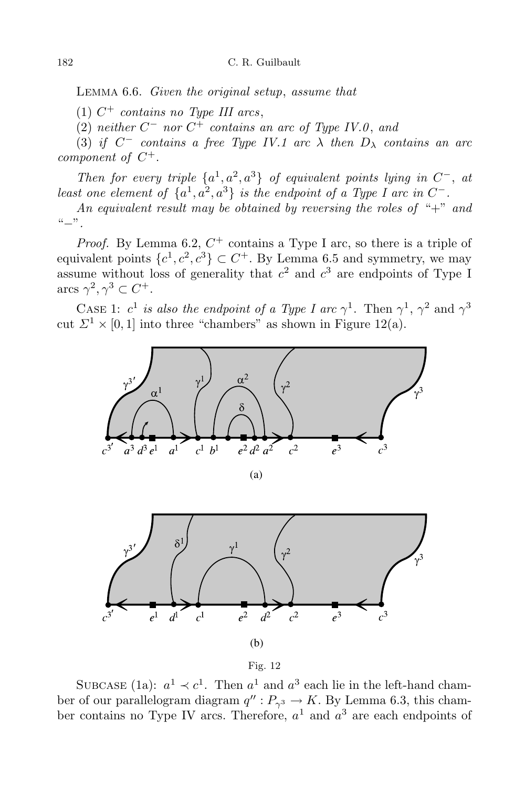Lemma 6.6. *Given the original setup*, *assume that*

 $(1)$   $C^+$  *contains no Type III arcs*,

(2) *neither C <sup>−</sup> nor C* <sup>+</sup> *contains an arc of Type IV.0* , *and*

 $(3)$  *if*  $C^-$  *contains a free Type IV.1 arc*  $\lambda$  *then*  $D_{\lambda}$  *contains an arc component of C* +*.*

*Then for every triple*  $\{a^1, a^2, a^3\}$  *of equivalent points lying in*  $C^-$ , *at* least one element of  $\{a^1, a^2, a^3\}$  is the endpoint of a Type I arc in  $C^-$ .

*An equivalent result may be obtained by reversing the roles of* "+" *and* "*−*"*.*

*Proof.* By Lemma 6.2,  $C^+$  contains a Type I arc, so there is a triple of equivalent points  $\{c^1, c^2, c^3\} \subset C^+$ . By Lemma 6.5 and symmetry, we may assume without loss of generality that  $c^2$  and  $c^3$  are endpoints of Type I arcs  $\gamma^2, \gamma^3 \subset C^+$ .

CASE 1:  $c^1$  *is also the endpoint of a Type I arc*  $\gamma^1$ . Then  $\gamma^1$ ,  $\gamma^2$  and  $\gamma^3$ cut  $\Sigma^1 \times [0,1]$  into three "chambers" as shown in Figure 12(a).







SUBCASE (1a):  $a^1 \prec c^1$ . Then  $a^1$  and  $a^3$  each lie in the left-hand chamber of our parallelogram diagram  $q''$ :  $P_{\gamma^3} \to K$ . By Lemma 6.3, this chamber contains no Type IV arcs. Therefore, *a* <sup>1</sup> and *a* <sup>3</sup> are each endpoints of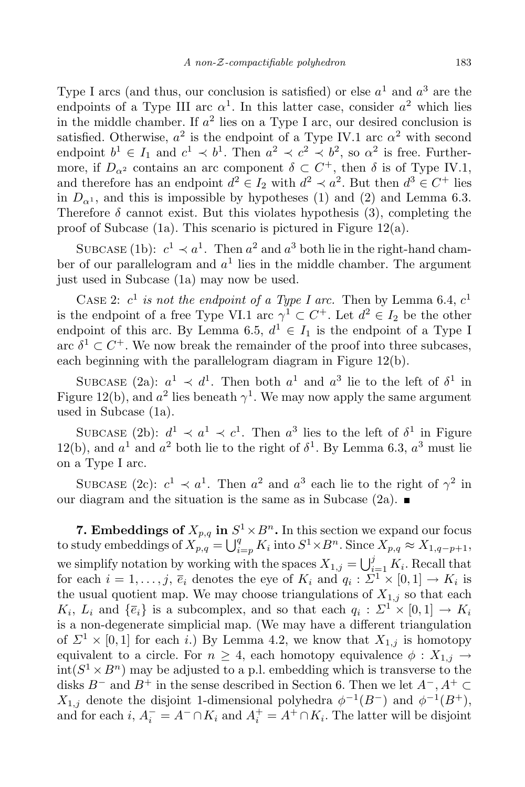Type I arcs (and thus, our conclusion is satisfied) or else *a* <sup>1</sup> and *a* <sup>3</sup> are the endpoints of a Type III arc  $\alpha^1$ . In this latter case, consider  $a^2$  which lies in the middle chamber. If  $a^2$  lies on a Type I arc, our desired conclusion is satisfied. Otherwise,  $a^2$  is the endpoint of a Type IV.1 arc  $\alpha^2$  with second endpoint  $b^1 \in I_1$  and  $c^1 \prec b^1$ . Then  $a^2 \prec c^2 \prec b^2$ , so  $\alpha^2$  is free. Furthermore, if  $D_{\alpha^2}$  contains an arc component  $\delta \subset C^+$ , then  $\delta$  is of Type IV.1, and therefore has an endpoint  $d^2 \in I_2$  with  $d^2 \prec a^2$ . But then  $d^3 \in C^+$  lies in  $D_{\alpha^1}$ , and this is impossible by hypotheses (1) and (2) and Lemma 6.3. Therefore  $\delta$  cannot exist. But this violates hypothesis (3), completing the proof of Subcase (1a). This scenario is pictured in Figure 12(a).

SUBCASE (1b):  $c^1 \prec a^1$ . Then  $a^2$  and  $a^3$  both lie in the right-hand chamber of our parallelogram and *a* 1 lies in the middle chamber. The argument just used in Subcase (1a) may now be used.

CASE 2:  $c^1$  *is not the endpoint of a Type I arc.* Then by Lemma 6.4,  $c^1$ is the endpoint of a free Type VI.1 arc  $\gamma^1 \subset C^+$ . Let  $d^2 \in I_2$  be the other endpoint of this arc. By Lemma 6.5,  $d^1 \in I_1$  is the endpoint of a Type I arc  $\delta^1 \subset C^+$ . We now break the remainder of the proof into three subcases, each beginning with the parallelogram diagram in Figure 12(b).

SUBCASE (2a):  $a^1 \prec d^1$ . Then both  $a^1$  and  $a^3$  lie to the left of  $\delta^1$  in Figure 12(b), and  $a^2$  lies beneath  $\gamma^1$ . We may now apply the same argument used in Subcase (1a).

SUBCASE (2b):  $d^1 \prec a^1 \prec c^1$ . Then  $a^3$  lies to the left of  $\delta^1$  in Figure 12(b), and  $a^1$  and  $a^2$  both lie to the right of  $\delta^1$ . By Lemma 6.3,  $a^3$  must lie on a Type I arc.

SUBCASE (2c):  $c^1 \prec a^1$ . Then  $a^2$  and  $a^3$  each lie to the right of  $\gamma^2$  in our diagram and the situation is the same as in Subcase (2a).  $\blacksquare$ 

**7. Embeddings of**  $X_{p,q}$  in  $S^1 \times B^n$ . In this section we expand our focus to study embeddings of  $X_{p,q}$ <sup>*i*</sup> =  $\bigcup_{i=p}^{q} K_i$  into  $S^1 \times B^n$ . Since  $X_{p,q} \approx X_{1,q-p+1}$ , we simplify notation by working with the spaces  $X_{1,j} = \bigcup_{i=1}^{j} K_i$ . Recall that for each  $i = 1, \ldots, j$ ,  $\overline{e}_i$  denotes the eye of  $K_i$  and  $q_i : \Sigma^1 \times [0, 1] \to K_i$  is the usual quotient map. We may choose triangulations of  $X_{1,j}$  so that each  $K_i$ ,  $L_i$  and  $\{\overline{e}_i\}$  is a subcomplex, and so that each  $q_i : \Sigma^1 \times [0,1] \to K_i$ is a non-degenerate simplicial map. (We may have a different triangulation of  $\Sigma^1 \times [0,1]$  for each *i*.) By Lemma 4.2, we know that  $X_{1,j}$  is homotopy equivalent to a circle. For  $n \geq 4$ , each homotopy equivalence  $\phi : X_{1,j} \rightarrow$  $\text{int}(S^1 \times B^n)$  may be adjusted to a p.l. embedding which is transverse to the disks  $B^-$  and  $B^+$  in the sense described in Section 6. Then we let  $A^-$ ,  $A^+ \subset$ *X*<sub>1,j</sub> denote the disjoint 1-dimensional polyhedra  $\phi^{-1}(B^-)$  and  $\phi^{-1}(B^+)$ , and for each *i*,  $A_i^- = A^- \cap K_i$  and  $A_i^+ = A^+ \cap K_i$ . The latter will be disjoint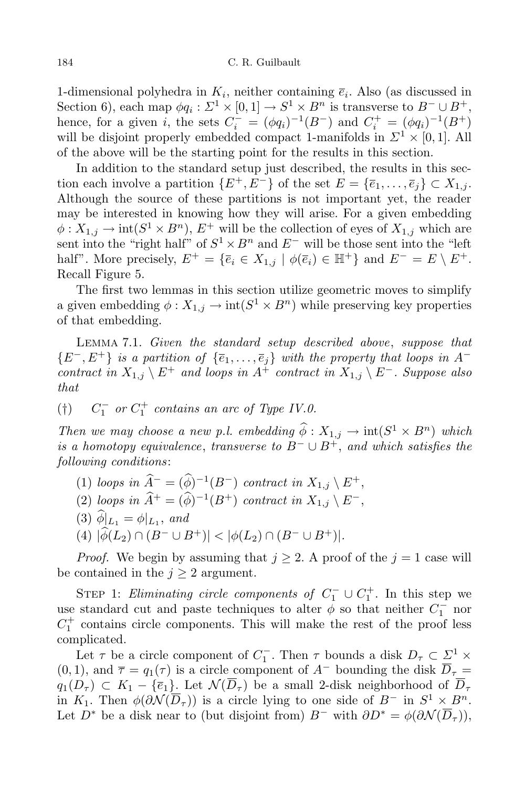1-dimensional polyhedra in  $K_i$ , neither containing  $\overline{e}_i$ . Also (as discussed in Section 6), each map  $\phi q_i : \Sigma^1 \times [0,1] \to S^1 \times B^n$  is transverse to  $B^- \cup B^+$ , hence, for a given *i*, the sets  $C_i^- = (\phi q_i)^{-1}(B^-)$  and  $C_i^+ = (\phi q_i)^{-1}(B^+)$ will be disjoint properly embedded compact 1-manifolds in  $\Sigma^1 \times [0,1]$ . All of the above will be the starting point for the results in this section.

In addition to the standard setup just described, the results in this section each involve a partition  ${E^+, E^-}$  of the set  $E = {\bar{e}_1, \ldots, \bar{e}_i} \subset X_{1,i}$ . Although the source of these partitions is not important yet, the reader may be interested in knowing how they will arise. For a given embedding  $\phi: X_{1,j} \to \text{int}(S^1 \times B^n)$ ,  $E^+$  will be the collection of eyes of  $X_{1,j}$  which are sent into the "right half" of  $S^1 \times B^n$  and  $E^-$  will be those sent into the "left" half". More precisely,  $E^+ = \{\overline{e}_i \in X_{1,j} \mid \phi(\overline{e}_i) \in \mathbb{H}^+\}$  and  $E^- = E \setminus E^+$ . Recall Figure 5.

The first two lemmas in this section utilize geometric moves to simplify a given embedding  $\phi: X_{1,j} \to \text{int}(S^1 \times B^n)$  while preserving key properties of that embedding.

Lemma 7.1. *Given the standard setup described above*, *suppose that*  $\{E^-, E^+\}$  is a partition of  $\{\overline{e}_1, \ldots, \overline{e}_i\}$  with the property that loops in A<sup>-</sup>  $\therefore$  *contract*  $\sin X_{1,j} \setminus E^+$  *and loops*  $\sin A^+$  *contract*  $\sin X_{1,j} \setminus E^-$ *. Suppose also that*

$$
(\dagger) \qquad C_1^- \quad or \quad C_1^+ \quad contains \quad an \ arc \ of \ Type \ IV.0.
$$

*Then we may choose a new p.l. embedding*  $\phi : X_{1,j} \to \text{int}(S^1 \times B^n)$  *which is a homotopy equivalence*, *transverse to*  $B$ <sup> $−$ </sup>  $\cup$   $B$ <sup> $+$ </sup>, *and which satisfies the following conditions*:

- $(1)$  *loops in*  $\hat{A}^- = (\phi)^{-1}(B^-)$  *contract in*  $X_{1,j} \setminus E^+,$
- $(2)$  *loops in*  $\hat{A}^+ = (\hat{\phi})^{-1}(B^+)$  *contract in*  $X_{1,j} \setminus E^-$ ,
- $(3)$   $\phi|_{L_1} = \phi|_{L_1}$ , and
- $|(4) |\hat{\phi}(L_2) \cap (B^- \cup B^+)| < |\phi(L_2) \cap (B^- \cup B^+)|.$

*Proof.* We begin by assuming that  $j \geq 2$ . A proof of the  $j = 1$  case will be contained in the  $j \geq 2$  argument.

STEP 1: *Eliminating circle components of*  $C_1^- \cup C_1^+$ . In this step we use standard cut and paste techniques to alter  $\phi$  so that neither  $C_1^-$  nor  $C_1^+$  contains circle components. This will make the rest of the proof less complicated.

Let  $\tau$  be a circle component of  $C_1^-$ . Then  $\tau$  bounds a disk  $D_{\tau} \subset \Sigma^1 \times$  $(0,1)$ , and  $\overline{\tau} = q_1(\tau)$  is a circle component of  $A^-$  bounding the disk  $\overline{D}_{\tau} =$  $q_1(D_\tau) \subset K_1 - {\overline{e_1}}$ . Let  $\mathcal{N}(\overline{D}_\tau)$  be a small 2-disk neighborhood of  $\overline{D}_\tau$ in *K*<sub>1</sub>. Then  $\phi(\partial \mathcal{N}(\overline{D}_{\tau}))$  is a circle lying to one side of *B*<sup>-</sup> in  $S^1 \times B^n$ . Let *D*<sup>*∗*</sup> be a disk near to (but disjoint from)  $B^-$  with  $\partial D^* = \phi(\partial \mathcal{N}(D_\tau))$ ,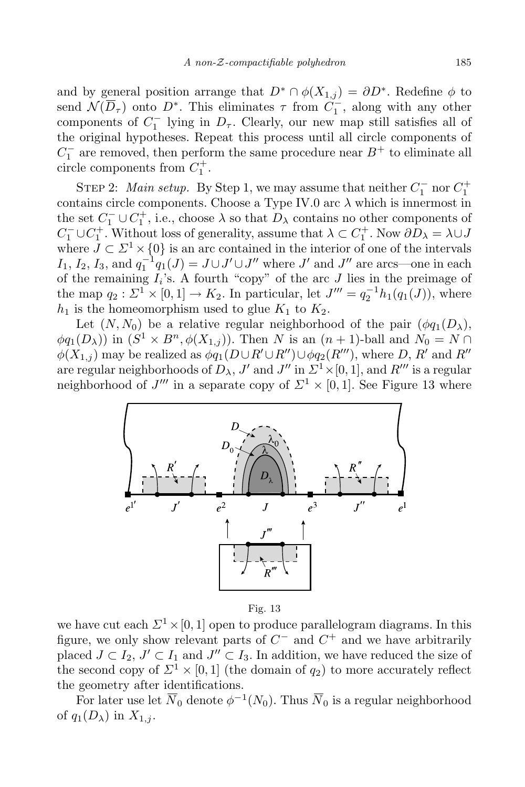and by general position arrange that  $D^* \cap \phi(X_{1,j}) = \partial D^*$ . Redefine  $\phi$  to send  $\mathcal{N}(D_{\tau})$  onto  $D^*$ . This eliminates  $\tau$  from  $C_1^-$ , along with any other components of  $C_1^-$  lying in  $D_\tau$ . Clearly, our new map still satisfies all of the original hypotheses. Repeat this process until all circle components of  $C_1^-$  are removed, then perform the same procedure near  $B^+$  to eliminate all circle components from  $C_1^+$ .

STEP 2: *Main setup.* By Step 1, we may assume that neither  $C_1^-$  nor  $C_1^+$ contains circle components. Choose a Type IV.0 arc  $\lambda$  which is innermost in the set  $C_1^- \cup C_1^+$ , i.e., choose  $\lambda$  so that  $D_\lambda$  contains no other components of  $C_1^- \cup C_1^+$ . Without loss of generality, assume that  $\lambda \subset C_1^+$ . Now  $\partial D_\lambda = \lambda \cup J$ where  $J \subset \Sigma^1 \times \{0\}$  is an arc contained in the interior of one of the intervals *I*<sub>1</sub>, *I*<sub>2</sub>, *I*<sub>3</sub>, and  $q_1^{-1}q_1(J) = J \cup J' \cup J''$  where *J'* and *J''* are arcs—one in each of the remaining  $I_i$ 's. A fourth "copy" of the arc  $J$  lies in the preimage of the map  $q_2 : \Sigma^1 \times [0,1] \to K_2$ . In particular, let  $J''' = q_2^{-1} h_1(q_1(J))$ , where  $h_1$  is the homeomorphism used to glue  $K_1$  to  $K_2$ .

Let  $(N, N_0)$  be a relative regular neighborhood of the pair  $(\phi q_1(D_\lambda),$  $\phi q_1(D_\lambda)$ ) in  $(S^1 \times B^n, \phi(X_{1,j}))$ . Then *N* is an  $(n+1)$ -ball and  $N_0 = N \cap$  $\phi(X_{1,j})$  may be realized as  $\phi(q_1(D\cup R'\cup R'')\cup\phi(q_2(R'''))$ , where *D*, *R'* and *R''* are regular neighborhoods of  $D_{\lambda}$ ,  $J'$  and  $J''$  in  $\Sigma^1 \times [0,1]$ , and  $R'''$  is a regular neighborhood of  $J'''$  in a separate copy of  $\Sigma^1 \times [0,1]$ . See Figure 13 where



Fig. 13

we have cut each  $\Sigma^1 \times [0, 1]$  open to produce parallelogram diagrams. In this figure, we only show relevant parts of *C <sup>−</sup>* and *C* <sup>+</sup> and we have arbitrarily placed  $J \subset I_2$ ,  $J' \subset I_1$  and  $J'' \subset I_3$ . In addition, we have reduced the size of the second copy of  $\Sigma^1 \times [0,1]$  (the domain of  $q_2$ ) to more accurately reflect the geometry after identifications.

For later use let  $\overline{N}_0$  denote  $\phi^{-1}(N_0)$ . Thus  $\overline{N}_0$  is a regular neighborhood of  $q_1(D_\lambda)$  in  $X_{1,j}$ .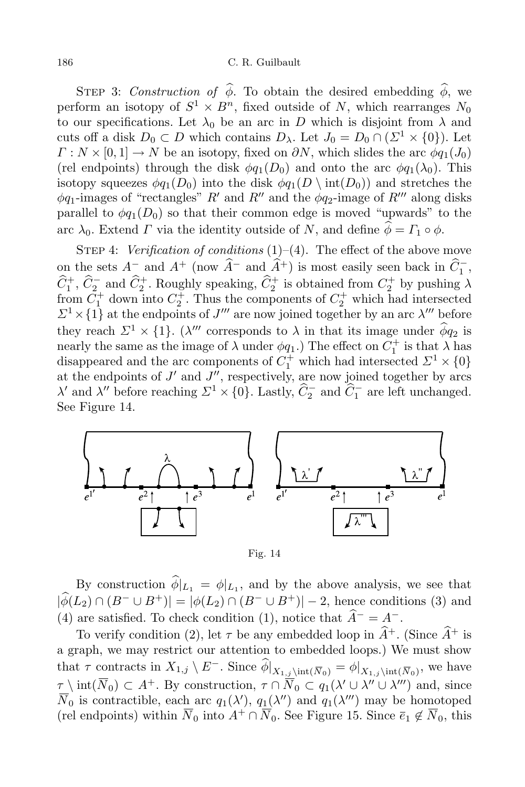STEP 3: *Construction of*  $\hat{\phi}$ . To obtain the desired embedding  $\hat{\phi}$ , we perform an isotopy of  $S^1 \times B^n$ , fixed outside of *N*, which rearranges  $N_0$ to our specifications. Let  $\lambda_0$  be an arc in *D* which is disjoint from  $\lambda$  and cuts off a disk  $D_0 \subset D$  which contains  $D_\lambda$ . Let  $J_0 = D_0 \cap (\Sigma^1 \times \{0\})$ . Let  $\Gamma: N \times [0,1] \to N$  be an isotopy, fixed on  $\partial N$ , which slides the arc  $\phi q_1(J_0)$ (rel endpoints) through the disk  $\phi q_1(D_0)$  and onto the arc  $\phi q_1(\lambda_0)$ . This isotopy squeezes  $\phi q_1(D_0)$  into the disk  $\phi q_1(D \setminus \text{int}(D_0))$  and stretches the  $\phi q_1$ -images of "rectangles" *R*<sup>*'*</sup> and *R<sup>''</sup>* and the  $\phi q_2$ -image of *R*<sup>'''</sup> along disks parallel to  $\phi q_1(D_0)$  so that their common edge is moved "upwards" to the arc  $\lambda_0$ . Extend *Γ* via the identity outside of *N*, and define  $\hat{\phi} = \Gamma_1 \circ \phi$ .

STEP 4: *Verification of conditions* (1)–(4). The effect of the above move on the sets  $A^-$  and  $A^+$  (now  $\widehat{A}^-$  and  $\widehat{A}^+$ ) is most easily seen back in  $\widehat{C}_1^-$ ,  $\widehat{C}_1^+$ ,  $\widehat{C}_2^-$  and  $\widehat{C}_2^+$ . Roughly speaking,  $\widehat{C}_2^+$  is obtained from  $C_2^+$  by pushing  $\lambda$ from  $\overline{C}_1^+$  down into  $C_2^+$ . Thus the components of  $C_2^+$  which had intersected  $Z^1 \times \{1\}$  at the endpoints of *J*<sup>*m*</sup> are now joined together by an arc *λ*<sup>*m*</sup> before they reach  $\Sigma^1 \times \{1\}$ . (*λ*<sup>*m*</sup> corresponds to *λ* in that its image under  $\phi q_2$  is nearly the same as the image of  $\lambda$  under  $\phi q_1$ .) The effect on  $C_1^+$  is that  $\lambda$  has disappeared and the arc components of  $C_1^+$  which had intersected  $\mathcal{Z}^1 \times \{0\}$ at the endpoints of  $J'$  and  $J''$ , respectively, are now joined together by arcs *λ*<sup>*n*</sup> and *λ*<sup>
<sup>*n*</sup> before reaching  $\Sigma^1 \times \{0\}$ . Lastly,  $\hat{C}_2^-$  and  $\hat{C}_1^-$  are left unchanged.</sup> See Figure 14.



Fig. 14

By construction  $\phi|_{L_1} = \phi|_{L_1}$ , and by the above analysis, we see that  $|\hat{\phi}(L_2) \cap (B^- \cup B^+)| = |\phi(L_2) \cap (B^- \cup B^+)| - 2$ , hence conditions (3) and (4) are satisfied. To check condition (1), notice that  $\hat{A}^- = A^-$ .

To verify condition (2), let  $\tau$  be any embedded loop in  $\hat{A}^+$ . (Since  $\hat{A}^+$  is a graph, we may restrict our attention to embedded loops.) We must show that  $\tau$  contracts in  $X_{1,j} \setminus E^-$ . Since  $\phi|_{X_{1,j}\setminus \text{int}(\overline{N}_0)} = \phi|_{X_{1,j}\setminus \text{int}(\overline{N}_0)}$ , we have  $\tau$  int( $\overline{N}_0$ )  $\subset A^+$ . By construction,  $\tau \cap \overline{N}_0 \subset q_1(\lambda' \cup \lambda'' \cup \lambda''')$  and, since *N*<sub>0</sub> is contractible, each arc  $q_1(\lambda')$ ,  $q_1(\lambda'')$  and  $q_1(\lambda''')$  may be homotoped (rel endpoints) within  $\overline{N}_0$  into  $A^+ \cap \overline{N}_0$ . See Figure 15. Since  $\overline{e}_1 \notin \overline{N}_0$ , this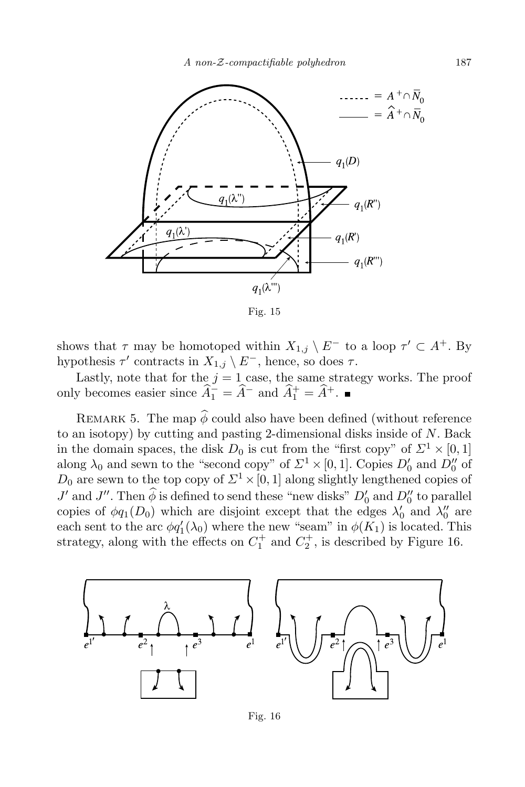

Fig. 15

shows that  $\tau$  may be homotoped within  $X_{1,j} \setminus E^-$  to a loop  $\tau' \subset A^+$ . By hypothesis  $\tau'$  contracts in  $X_{1,j} \setminus E^-$ , hence, so does  $\tau$ .

Lastly, note that for the  $j = 1$  case, the same strategy works. The proof only becomes easier since  $\widehat{A}_1^- = \widehat{A}^-$  and  $\widehat{A}_1^+ = \widehat{A}^+$ .

REMARK 5. The map  $\hat{\phi}$  could also have been defined (without reference to an isotopy) by cutting and pasting 2-dimensional disks inside of *N*. Back in the domain spaces, the disk  $D_0$  is cut from the "first copy" of  $\Sigma^1 \times [0,1]$ along  $\lambda_0$  and sewn to the "second copy" of  $\Sigma^1 \times [0,1]$ . Copies  $D'_0$  and  $D''_0$  of  $D_0$  are sewn to the top copy of  $\Sigma^1 \times [0,1]$  along slightly lengthened copies of *J'* and *J''*. Then  $\phi$  is defined to send these "new disks"  $D'_0$  and  $D''_0$  to parallel copies of  $\phi q_1(D_0)$  which are disjoint except that the edges  $\lambda'_0$  and  $\lambda''_0$  are each sent to the arc  $\phi q_1'(\lambda_0)$  where the new "seam" in  $\phi(K_1)$  is located. This strategy, along with the effects on  $C_1^+$  and  $C_2^+$ , is described by Figure 16.



Fig. 16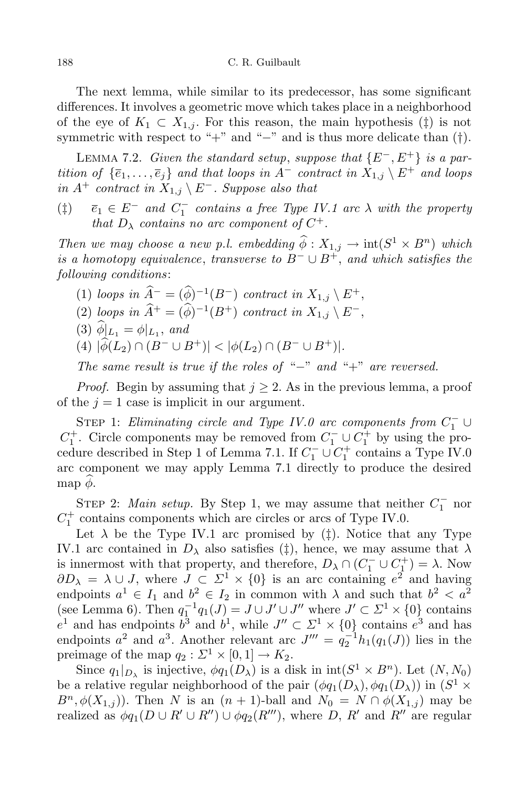#### 188 C. R. Guilbault

The next lemma, while similar to its predecessor, has some significant differences. It involves a geometric move which takes place in a neighborhood of the eye of  $K_1 \subset X_{1,j}$ . For this reason, the main hypothesis  $(\dagger)$  is not symmetric with respect to "+" and "*−*" and is thus more delicate than (*†*).

LEMMA 7.2. *Given the standard setup, suppose that*  ${E^-, E^+}$  *is a par*tition of  $\{\overline{e}_1,\ldots,\overline{e}_j\}$  and that loops in  $A^-$  contract in  $X_{1,j}\setminus E^+$  and loops  $in A<sup>+</sup>$  *contract*  $in X<sub>1,j</sub> \setminus E<sup>-</sup>$ *. Suppose also that* 

( $\ddagger$ )  $\overline{e}_1 \in E^-$  *and*  $C_1^-$  *contains a free Type IV.1 arc*  $\lambda$  *with the property that*  $D_{\lambda}$  *contains no arc component of*  $C^+$ *.* 

*Then we may choose a new p.l. embedding*  $\phi : X_{1,j} \to \text{int}(S^1 \times B^n)$  *which is a homotopy equivalence*, *transverse to*  $B^- \cup B^+$ , *and which satisfies the following conditions*:

- (1) *loops* in  $\widehat{A}^- = (\widehat{\phi})^{-1}(B^-)$  *contract* in  $X_{1,j} \setminus E^+,$
- $(2)$  *loops in*  $\hat{A}^+ = (\phi)^{-1}(B^+)$  *contract in*  $X_{1,j} \setminus E^-$ ,
- $(3)$   $\phi|_{L_1} = \phi|_{L_1}$ , and
- $|(4) |\hat{\phi}(L_2) \cap (B^- \cup B^+)| < |\phi(L_2) \cap (B^- \cup B^+)|.$

*The same result is true if the roles of* "*−*" *and* "+" *are reversed.*

*Proof.* Begin by assuming that  $j \geq 2$ . As in the previous lemma, a proof of the  $j = 1$  case is implicit in our argument.

STEP 1: *Eliminating circle and Type IV.0 arc components from*  $C_1^- \cup$ *C*<sup> $+$ </sup>. Circle components may be removed from  $C_1^- \cup C_1^+$  by using the procedure described in Step 1 of Lemma 7.1. If  $C_1^- \cup C_1^+$  contains a Type IV.0 arc component we may apply Lemma 7.1 directly to produce the desired map  $\phi$ .

STEP 2: *Main setup*. By Step 1, we may assume that neither  $C_1^-$  nor  $C_1^+$  contains components which are circles or arcs of Type IV.0.

Let  $\lambda$  be the Type IV.1 arc promised by ( $\ddagger$ ). Notice that any Type IV.1 arc contained in  $D_{\lambda}$  also satisfies (*‡*), hence, we may assume that  $\lambda$ is innermost with that property, and therefore,  $D_{\lambda} \cap (C_1^{-} \cup C_1^{+}) = \lambda$ . Now  $\partial D_{\lambda} = \lambda \cup J$ , where  $J \subset \Sigma^1 \times \{0\}$  is an arc containing  $e^2$  and having endpoints  $a^1 \in I_1$  and  $b^2 \in I_2$  in common with  $\lambda$  and such that  $b^2 < a^2$ (see Lemma 6). Then  $q_1^{-1}q_1(J) = J \cup J' \cup J''$  where  $J' \subset \Sigma^1 \times \{0\}$  contains  $e^1$  and has endpoints  $b^3$  and  $b^1$ , while  $J'' \subset \Sigma^1 \times \{0\}$  contains  $e^3$  and has endpoints  $a^2$  and  $a^3$ . Another relevant arc  $J''' = q_2^{-1}h_1(q_1(J))$  lies in the preimage of the map  $q_2 : \Sigma^1 \times [0,1] \to K_2$ .

Since  $q_1|_{D_\lambda}$  is injective,  $\phi q_1(D_\lambda)$  is a disk in  $\text{int}(S^1 \times B^n)$ . Let  $(N, N_0)$ be a relative regular neighborhood of the pair  $(\phi q_1(D_\lambda), \phi q_1(D_\lambda))$  in  $(S^1 \times$  $B^n$ ,  $\phi(X_{1,i})$ ). Then *N* is an  $(n + 1)$ -ball and  $N_0 = N \cap \phi(X_{1,i})$  may be realized as  $\phi q_1(D \cup R' \cup R'') \cup \phi q_2(R''')$ , where *D*, *R'* and *R''* are regular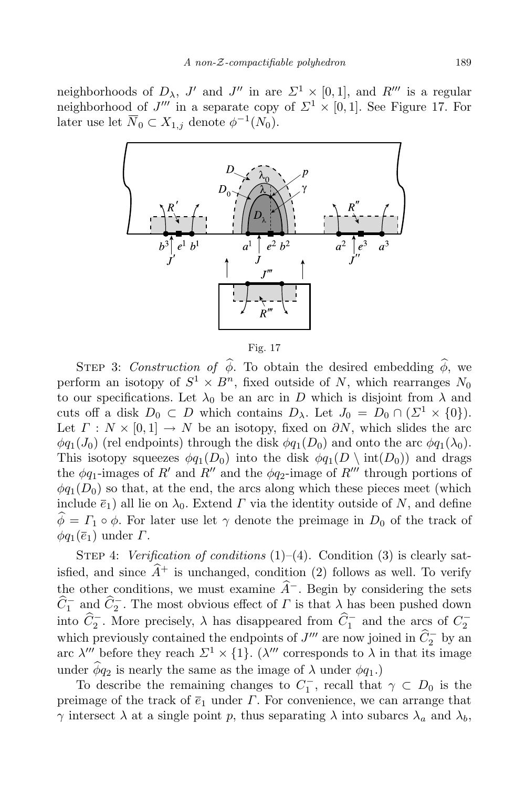neighborhoods of  $D_{\lambda}$ ,  $J'$  and  $J''$  in are  $\Sigma^1 \times [0,1]$ , and  $R'''$  is a regular neighborhood of *J*<sup>*m*</sup> in a separate copy of  $\Sigma^1 \times [0,1]$ . See Figure 17. For later use let  $\overline{N}_0 \subset X_{1,j}$  denote  $\phi^{-1}(N_0)$ .



Fig. 17

STEP 3: *Construction* of  $\hat{\phi}$ . To obtain the desired embedding  $\hat{\phi}$ , we perform an isotopy of  $S^1 \times B^n$ , fixed outside of *N*, which rearranges  $N_0$ to our specifications. Let  $\lambda_0$  be an arc in *D* which is disjoint from  $\lambda$  and cuts off a disk  $D_0 \subset D$  which contains  $D_\lambda$ . Let  $J_0 = D_0 \cap (\Sigma^1 \times \{0\})$ . Let  $\Gamma : N \times [0,1] \to N$  be an isotopy, fixed on  $\partial N$ , which slides the arc  $\phi q_1(J_0)$  (rel endpoints) through the disk  $\phi q_1(D_0)$  and onto the arc  $\phi q_1(\lambda_0)$ . This isotopy squeezes  $\phi q_1(D_0)$  into the disk  $\phi q_1(D \setminus \text{int}(D_0))$  and drags the  $\phi q_1$ -images of *R'* and *R''* and the  $\phi q_2$ -image of *R'''* through portions of  $\phi q_1(D_0)$  so that, at the end, the arcs along which these pieces meet (which include  $\bar{e}_1$ ) all lie on  $\lambda_0$ . Extend *Γ* via the identity outside of *N*, and define  $\hat{\phi} = \Gamma_1 \circ \phi$ . For later use let  $\gamma$  denote the preimage in  $D_0$  of the track of  $\phi q_1(\overline{e}_1)$  under *Γ*.

STEP 4: *Verification of conditions* (1)–(4). Condition (3) is clearly satisfied, and since  $\hat{A}^+$  is unchanged, condition (2) follows as well. To verify the other conditions, we must examine  $\hat{A}$ <sup>−</sup>. Begin by considering the sets  $C_1^-$  and  $C_2^-$ . The most obvious effect of *Γ* is that  $\lambda$  has been pushed down into  $C_2^-$ . More precisely,  $\lambda$  has disappeared from  $C_1^-$  and the arcs of  $C_2^$ which previously contained the endpoints of *J*<sup>*m*</sup> are now joined in  $C_2^-$  by an arc  $\lambda'''$  before they reach  $\Sigma^1 \times \{1\}$ . ( $\lambda'''$  corresponds to  $\lambda$  in that its image under  $\hat{\phi}q_2$  is nearly the same as the image of  $\lambda$  under  $\phi q_1$ .)

To describe the remaining changes to  $C_1^-$ , recall that  $\gamma \subset D_0$  is the preimage of the track of  $\overline{e}_1$  under  $\Gamma$ . For convenience, we can arrange that *γ* intersect  $\lambda$  at a single point *p*, thus separating  $\lambda$  into subarcs  $\lambda_a$  and  $\lambda_b$ ,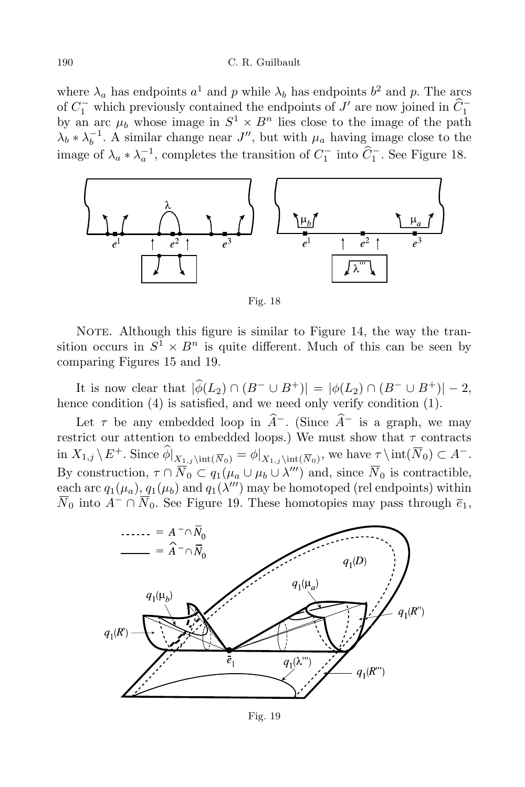### 190 C. R. Guilbault

where  $\lambda_a$  has endpoints  $a^1$  and  $p$  while  $\lambda_b$  has endpoints  $b^2$  and  $p$ . The arcs of  $C_1^-$  which previously contained the endpoints of *J'* are now joined in  $C_1^$ by an arc  $\mu_b$  whose image in  $S^1 \times B^n$  lies close to the image of the path  $\lambda_b * \lambda_b^{-1}$ . A similar change near *J*<sup>*n*</sup>, but with  $\mu_a$  having image close to the image of  $\lambda_a * \lambda_a^{-1}$ , completes the transition of  $C_1^-$  into  $C_1^-$ . See Figure 18.



Fig. 18

NOTE. Although this figure is similar to Figure 14, the way the transition occurs in  $S^1 \times B^n$  is quite different. Much of this can be seen by comparing Figures 15 and 19.

It is now clear that  $|\hat{\phi}(L_2) \cap (B^- \cup B^+)| = |\phi(L_2) \cap (B^- \cup B^+)| - 2$ , hence condition (4) is satisfied, and we need only verify condition (1).

Let  $\tau$  be any embedded loop in  $\hat{A}$ <sup>−</sup>. (Since  $\hat{A}$ <sup>−</sup> is a graph, we may restrict our attention to embedded loops.) We must show that  $\tau$  contracts  $\text{in } X_{1,j} \setminus E^+$ . Since  $\widehat{\phi}|_{X_{1,j} \setminus \text{int}(\overline{N}_0)} = \phi|_{X_{1,j} \setminus \text{int}(\overline{N}_0)}$ , we have  $\underline{\tau} \setminus \text{int}(\overline{N}_0) \subset A^-$ . By construction,  $\tau \cap N_0 \subset q_1(\mu_a \cup \mu_b \cup \lambda''')$  and, since  $N_0$  is contractible, each arc  $q_1(\mu_a)$ ,  $q_1(\mu_b)$  and  $q_1(\lambda''')$  may be homotoped (rel endpoints) within  $\overline{N}_0$  into  $A$ <sup>−</sup> ∩  $\overline{N}_0$ . See Figure 19. These homotopies may pass through  $\overline{e}_1$ ,



Fig. 19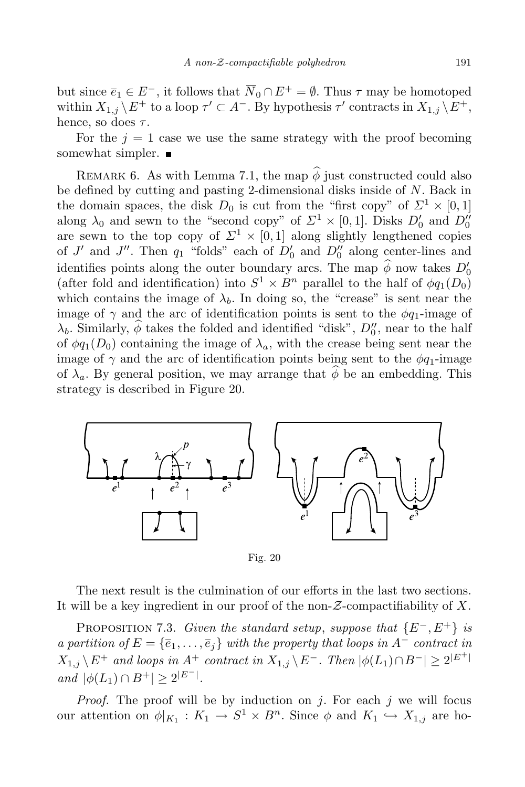but since  $\overline{e}_1 \in E^-$ , it follows that  $\overline{N}_0 \cap E^+ = \emptyset$ . Thus  $\tau$  may be homotoped within  $X_{1,j} \setminus E^+$  to a loop  $\tau' \subset A^-$ . By hypothesis  $\tau'$  contracts in  $X_{1,j} \setminus E^+$ , hence, so does *τ* .

For the  $j = 1$  case we use the same strategy with the proof becoming somewhat simpler.  $\blacksquare$ 

REMARK 6. As with Lemma 7.1, the map  $\hat{\phi}$  just constructed could also be defined by cutting and pasting 2-dimensional disks inside of *N*. Back in the domain spaces, the disk  $D_0$  is cut from the "first copy" of  $\Sigma^1 \times [0,1]$ along  $\lambda_0$  and sewn to the "second copy" of  $\Sigma^1 \times [0,1]$ . Disks  $D'_0$  and  $D''_0$ are sewn to the top copy of  $\Sigma^1 \times [0,1]$  along slightly lengthened copies of *J'* and *J''*. Then  $q_1$  "folds" each of  $D'_0$  and  $D''_0$  along center-lines and identifies points along the outer boundary arcs. The map  $\phi$  now takes  $D'_0$ (after fold and identification) into  $S^1 \times B^n$  parallel to the half of  $\phi q_1(D_0)$ which contains the image of  $\lambda_b$ . In doing so, the "crease" is sent near the image of  $\gamma$  and the arc of identification points is sent to the  $\phi q_1$ -image of  $\lambda_b$ . Similarly,  $\phi$  takes the folded and identified "disk",  $D_0$ ", near to the half of  $\phi q_1(D_0)$  containing the image of  $\lambda_a$ , with the crease being sent near the image of  $\gamma$  and the arc of identification points being sent to the  $\phi q_1$ -image of  $\lambda_a$ . By general position, we may arrange that  $\phi$  be an embedding. This strategy is described in Figure 20.



Fig. 20

The next result is the culmination of our efforts in the last two sections. It will be a key ingredient in our proof of the non-*Z*-compactifiability of *X*.

**PROPOSITION 7.3.** Given the standard setup, suppose that  $\{E^-, E^+\}$  is a partition of  $E = {\overline{e_1}, \ldots, \overline{e_j}}$  with the property that loops in  $A^-$  contract in  $X_{1,j}\backslash E^+$  and loops in  $A^+$  contract in  $X_{1,j}\backslash E^-$ . Then  $|\phi(L_1)\cap B^-|\geq 2^{|E^+|}$ *and*  $|\phi(L_1) \cap B^+| \geq 2^{|E^-|}$ .

*Proof.* The proof will be by induction on *j*. For each *j* we will focus our attention on  $\phi|_{K_1}: K_1 \to S^1 \times B^n$ . Since  $\phi$  and  $K_1 \hookrightarrow X_{1,j}$  are ho-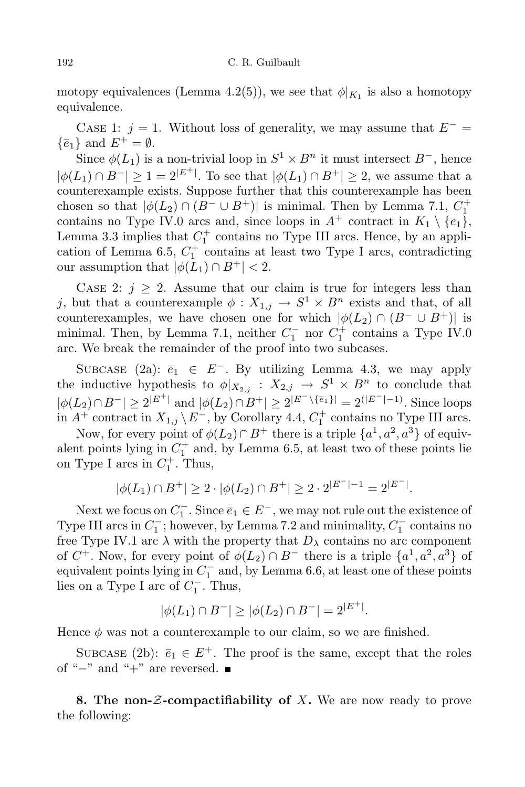## 192 C. R. Guilbault

motopy equivalences (Lemma 4.2(5)), we see that  $\phi|_{K_1}$  is also a homotopy equivalence.

CASE 1:  $j = 1$ . Without loss of generality, we may assume that  $E^ \{\overline{e}_1\}$  and  $E^+ = \emptyset$ .

Since  $\phi(L_1)$  is a non-trivial loop in  $S^1 \times B^n$  it must intersect  $B^-$ , hence *|* $\phi$ (*L*<sub>1</sub>) ∩ *B*<sup>−</sup>*|*  $\geq$  1 = 2<sup>|*E*<sup>+</sup><sup>*+*</sup>. To see that *|* $\phi$ (*L*<sub>1</sub>) ∩ *B*<sup>+</sup>*|*  $\geq$  2, we assume that a</sup> counterexample exists. Suppose further that this counterexample has been chosen so that  $|\phi(L_2) \cap (B^- \cup B^+)|$  is minimal. Then by Lemma 7.1,  $C_1^+$ contains no Type IV.0 arcs and, since loops in  $A^+$  contract in  $K_1 \setminus {\overline{e_1}}$ , Lemma 3.3 implies that  $C_1^+$  contains no Type III arcs. Hence, by an application of Lemma 6.5,  $C_1^+$  contains at least two Type I arcs, contradicting our assumption that  $|\phi(L_1) \cap B^+| < 2$ .

CASE 2:  $j \geq 2$ . Assume that our claim is true for integers less than *j*, but that a counterexample  $\phi: X_{1,j} \to S^1 \times B^n$  exists and that, of all counterexamples, we have chosen one for which  $|\phi(L_2) \cap (B^- \cup B^+)|$  is minimal. Then, by Lemma 7.1, neither  $C_1^-$  nor  $C_1^+$  contains a Type IV.0 arc. We break the remainder of the proof into two subcases.

SUBCASE (2a):  $\overline{e}_1 \in E^-$ . By utilizing Lemma 4.3, we may apply the inductive hypothesis to  $\phi|_{X_{2,j}} : X_{2,j} \to S^1 \times B^n$  to conclude that  $|\phi(L_2) \cap B^-| \ge 2^{|E^+|}$  and  $|\phi(L_2) \cap B^+| \ge 2^{|E^-| \setminus {\overline{e_1}}}| = 2^{|E^-| - 1}$ . Since loops in  $A^+$  contract in  $X_{1,j} \setminus E^-$ , by Corollary 4.4,  $C_1^+$  contains no Type III arcs.

Now, for every point of  $\phi(L_2) \cap B^+$  there is a triple  $\{a^1, a^2, a^3\}$  of equivalent points lying in  $C_1^+$  and, by Lemma 6.5, at least two of these points lie on Type I arcs in  $C_1^+$ . Thus,

$$
|\phi(L_1) \cap B^+| \ge 2 \cdot |\phi(L_2) \cap B^+| \ge 2 \cdot 2^{|E^-| - 1} = 2^{|E^-|}.
$$

Next we focus on  $C_1^-$ . Since  $\overline{e}_1 \in E^-$ , we may not rule out the existence of Type III arcs in  $C_1^-$ ; however, by Lemma 7.2 and minimality,  $C_1^-$  contains no free Type IV.1 arc  $\lambda$  with the property that  $D_{\lambda}$  contains no arc component of  $C^+$ . Now, for every point of  $\phi(L_2) \cap B^-$  there is a triple  $\{a^1, a^2, a^3\}$  of equivalent points lying in *C −* 1 and, by Lemma 6.6, at least one of these points lies on a Type I arc of  $C_1^-$ . Thus,

$$
|\phi(L_1) \cap B^-| \ge |\phi(L_2) \cap B^-| = 2^{|E^+|}.
$$

Hence  $\phi$  was not a counterexample to our claim, so we are finished.

SUBCASE (2b):  $\overline{e}_1 \in E^+$ . The proof is the same, except that the roles of "<sup>−</sup>" and "<sup>+</sup>" are reversed. ■

**8. The non-***Z***-compactifiability of** *X***.** We are now ready to prove the following: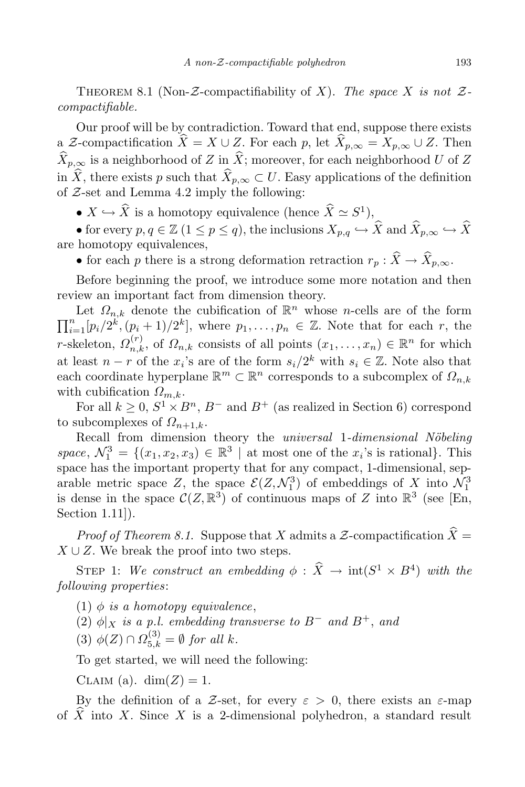THEOREM 8.1 (Non- $\mathcal{Z}$ -compactifiability of *X*). *The space X is* not  $\mathcal{Z}$ *compactifiable.*

Our proof will be by contradiction. Toward that end, suppose there exists a *Z*-compactification  $\widehat{X} = X \cup Z$ . For each *p*, let  $\widehat{X}_{p,\infty} = X_{p,\infty} \cup Z$ . Then  $\widehat{X}_{p,\infty}$  is a neighborhood of *Z* in  $\widehat{X}$ ; moreover, for each neighborhood *U* of *Z* in  $\hat{X}$ , there exists *p* such that  $\hat{X}_{p,\infty} \subset U$ . Easy applications of the definition of *Z*-set and Lemma 4.2 imply the following:

•  $X \hookrightarrow \hat{X}$  is a homotopy equivalence (hence  $\hat{X} \simeq S^1$ ),

• for every  $p, q \in \mathbb{Z}$   $(1 \leq p \leq q)$ , the inclusions  $X_{p,q} \hookrightarrow \widehat{X}$  and  $\widehat{X}_{p,\infty} \hookrightarrow \widehat{X}$ are homotopy equivalences,

• for each *p* there is a strong deformation retraction  $r_p$  :  $\widehat{X} \to \widehat{X}_{p,\infty}$ .

Before beginning the proof, we introduce some more notation and then review an important fact from dimension theory.

Let  $\Omega_{n,k}$  denote the cubification of  $\mathbb{R}^n$  whose *n*-cells are of the form  $\prod_{i=1}^{n} [p_i/2^k, (p_i+1)/2^k],$  where  $p_1, \ldots, p_n \in \mathbb{Z}$ . Note that for each r, the *r*-skeleton,  $\Omega_{n,k}^{(r)}$ , of  $\Omega_{n,k}$  consists of all points  $(x_1, \ldots, x_n) \in \mathbb{R}^n$  for which at least  $n - r$  of the  $x_i$ 's are of the form  $s_i/2^k$  with  $s_i \in \mathbb{Z}$ . Note also that each coordinate hyperplane  $\mathbb{R}^m \subset \mathbb{R}^n$  corresponds to a subcomplex of  $\Omega_{n,k}$ with cubification *Ωm,k*.

For all  $k \geq 0$ ,  $S^1 \times B^n$ ,  $B^-$  and  $B^+$  (as realized in Section 6) correspond to subcomplexes of  $\Omega_{n+1,k}$ .

Recall from dimension theory the *universal* 1-dimensional Nöbeling *space*,  $\mathcal{N}_1^3 = \{(x_1, x_2, x_3) \in \mathbb{R}^3 \mid \text{at most one of the } x_i\text{'s is rational}\}.$  This space has the important property that for any compact, 1-dimensional, separable metric space  $Z$ , the space  $\mathcal{E}(Z, \mathcal{N}_1^3)$  of embeddings of  $X$  into  $\mathcal{N}_1^3$ is dense in the space  $\mathcal{C}(Z,\mathbb{R}^3)$  of continuous maps of *Z* into  $\mathbb{R}^3$  (see [En, Section 1.11]).

*Proof* of Theorem 8.1. Suppose that *X* admits a *Z*-compactification  $\hat{X} =$ *X* ∪ *Z*. We break the proof into two steps.

STEP 1: *We construct an embedding*  $\phi$  :  $\hat{X} \rightarrow \text{int}(S^1 \times B^4)$  *with the following properties*:

 $(1)$   $\phi$  *is a homotopy equivalence*,

 $(2)$   $\phi|_X$  *is a p.l. embedding transverse to*  $B^-$  *and*  $B^+$ *, and* 

 $(3) \phi(Z) \cap \Omega_{5,k}^{(3)} = \emptyset$  *for all k.* 

To get started, we will need the following:

CLAIM (a).  $dim(Z) = 1$ .

By the definition of a *Z*-set, for every  $ε > 0$ , there exists an  $ε$ -map of  $\overline{X}$  into  $\overline{X}$ . Since  $\overline{X}$  is a 2-dimensional polyhedron, a standard result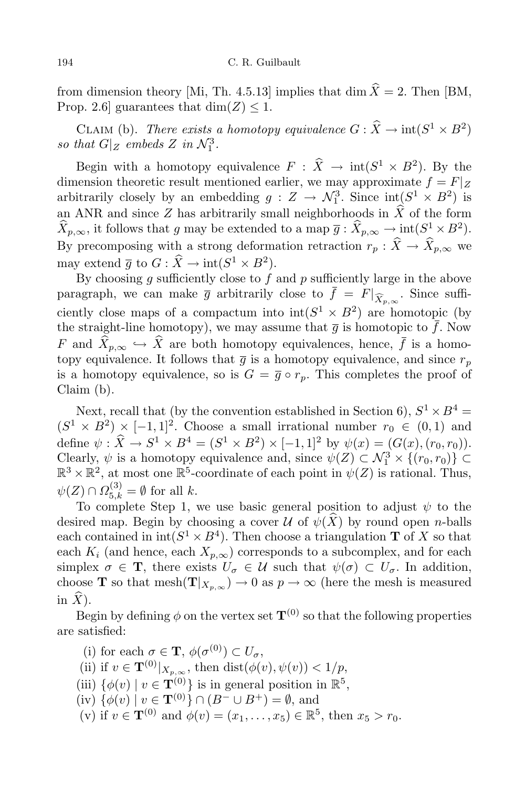from dimension theory [Mi, Th. 4.5.13] implies that dim  $\hat{X} = 2$ . Then [BM, Prop. 2.6] guarantees that  $\dim(Z) \leq 1$ .

CLAIM (b). *There exists a homotopy equivalence*  $G : X \to \text{int}(S^1 \times B^2)$ so that  $G|_Z$  embeds  $Z$  *in*  $\mathcal{N}_1^3$ .

Begin with a homotopy equivalence  $F : X \to \text{int}(S^1 \times B^2)$ . By the dimension theoretic result mentioned earlier, we may approximate  $f = F|_Z$ arbitrarily closely by an embedding  $g: Z \to \mathcal{N}_1^3$ . Since  $\text{int}(S^1 \times B^2)$  is an ANR and since *Z* has arbitrarily small neighborhoods in  $\hat{X}$  of the form  $\hat{X}_{p,\infty}$ , it follows that *g* may be extended to a map  $\overline{g}$  :  $\hat{X}_{p,\infty} \to \text{int}(S^1 \times B^2)$ . By precomposing with a strong deformation retraction  $r_p$  :  $\hat{X} \to \hat{X}_{p,\infty}$  we may extend  $\overline{g}$  to  $G : \hat{X} \to \text{int}(S^1 \times B^2)$ .

By choosing *g* sufficiently close to *f* and *p* sufficiently large in the above paragraph, we can make  $\overline{g}$  arbitrarily close to  $f = F|_{\widehat{X}_{p,\infty}}$ . Since sufficiently close maps of a compactum into  $\text{int}(S^1 \times B^2)$  are homotopic (by the straight-line homotopy), we may assume that  $\overline{g}$  is homotopic to  $\overline{f}$ . Now *F* and  $\widehat{X}_{p,\infty} \hookrightarrow \widehat{X}$  are both homotopy equivalences, hence,  $\overline{f}$  is a homotopy equivalence. It follows that  $\overline{g}$  is a homotopy equivalence, and since  $r_p$ is a homotopy equivalence, so is  $G = \overline{g} \circ r_p$ . This completes the proof of Claim (b).

Next, recall that (by the convention established in Section 6),  $S^1 \times B^4 =$  $(S^1 \times B^2) \times [-1,1]^2$ . Choose a small irrational number  $r_0 \in (0,1)$  and define  $\psi : \hat{X} \to S^1 \times B^4 = (S^1 \times B^2) \times [-1,1]^2$  by  $\psi(x) = (G(x), (r_0, r_0)).$ Clearly,  $\psi$  is a homotopy equivalence and, since  $\psi(Z) \subset \mathcal{N}_1^3 \times \{(r_0, r_0)\} \subset$  $\mathbb{R}^3 \times \mathbb{R}^2$ , at most one  $\mathbb{R}^5$ -coordinate of each point in  $\psi(Z)$  is rational. Thus,  $\psi(Z) \cap \Omega_{5,k}^{(3)} = \emptyset$  for all *k*.

To complete Step 1, we use basic general position to adjust *ψ* to the desired map. Begin by choosing a cover  $\mathcal U$  of  $\psi(X)$  by round open *n*-balls each contained in  $int(S^1 \times B^4)$ . Then choose a triangulation **T** of *X* so that each  $K_i$  (and hence, each  $X_{p,\infty}$ ) corresponds to a subcomplex, and for each simplex  $\sigma \in \mathbf{T}$ , there exists  $U_{\sigma} \in \mathcal{U}$  such that  $\psi(\sigma) \subset U_{\sigma}$ . In addition, choose **T** so that mesh $(\mathbf{T}|_{X_{p,\infty}}) \to 0$  as  $p \to \infty$  (here the mesh is measured in  $\widehat{X}$ ).

Begin by defining  $\phi$  on the vertex set  $\mathbf{T}^{(0)}$  so that the following properties are satisfied:

(i) for each  $\sigma \in \mathbf{T}$ ,  $\phi(\sigma^{(0)}) \subset U_{\sigma}$ , (ii) if  $v \in \mathbf{T}^{(0)}|_{X_{p,\infty}}$ , then dist $(\phi(v), \psi(v)) < 1/p$ , (iii)  $\{\phi(v) \mid v \in \mathbf{T}_{(0)}^{(0)}\}$  is in general position in  $\mathbb{R}^5$ ,  $(iv)$   $\{\phi(v) \mid v \in \mathbf{T}^{(0)}\} \cap (B^{-} \cup B^{+}) = \emptyset$ , and (v) if  $v \in \mathbf{T}^{(0)}$  and  $\phi(v) = (x_1, \ldots, x_5) \in \mathbb{R}^5$ , then  $x_5 > r_0$ .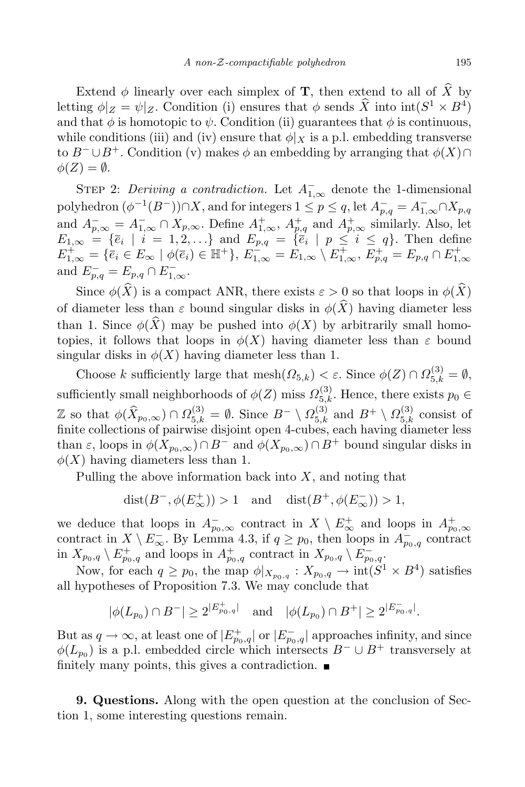Extend  $\phi$  linearly over each simplex of **T**, then extend to all of  $\widehat{X}$  by letting  $\phi|_Z = \psi|_Z$ . Condition (i) ensures that  $\phi$  sends  $\hat{X}$  into  $\text{int}(S^1 \times B^4)$ and that  $\phi$  is homotopic to  $\psi$ . Condition (ii) guarantees that  $\phi$  is continuous, while conditions (iii) and (iv) ensure that  $\phi|_X$  is a p.l. embedding transverse to  $B^- \cup B^+$ . Condition (v) makes  $\phi$  an embedding by arranging that  $\phi(X) \cap$  $\phi(Z) = \emptyset$ .

STEP 2: *Deriving a contradiction*. Let  $A^{-}_{1,\infty}$  denote the 1-dimensional polyhedron  $(\phi^{-1}(B^-)) \cap X$ , and for integers  $1 \le p \le q$ , let  $A_{p,q}^- = A_{1,\infty}^- \cap X_{p,q}$ and  $A_{p,\infty}^- = A_{1,\infty}^- \cap X_{p,\infty}$ . Define  $A_{1,\infty}^+$ ,  $A_{p,q}^+$  and  $A_{p,\infty}^+$  similarly. Also, let  $E_{1,\infty} = \{\overline{e}_i \mid i = 1,2,\ldots\}$  and  $E_{p,q} = \{\overline{e}_i \mid p \leq i \leq q\}$ . Then define  $E_{1,\infty}^+ = \{\overline{e}_i \in E_{\infty} \mid \phi(\overline{e}_i) \in \mathbb{H}^+\}, E_{1,\infty}^- = E_{1,\infty} \setminus E_{1,\infty}^+, E_{p,q}^+ = E_{p,q} \cap E_{1,\infty}^+$ and  $E_{p,q}^- = E_{p,q} \cap E_{1,\infty}^-$ .

Since  $\phi(\widehat{X})$  is a compact ANR, there exists  $\varepsilon > 0$  so that loops in  $\phi(\widehat{X})$ of diameter less than  $\varepsilon$  bound singular disks in  $\phi(\widehat{X})$  having diameter less than 1. Since  $\phi(\widehat{X})$  may be pushed into  $\phi(X)$  by arbitrarily small homotopies, it follows that loops in  $\phi(X)$  having diameter less than  $\varepsilon$  bound singular disks in  $\phi(X)$  having diameter less than 1.

Choose *k* sufficiently large that  $\text{mesh}(\Omega_{5,k}) < \varepsilon$ . Since  $\phi(Z) \cap \Omega_{5,k}^{(3)} = \emptyset$ , sufficiently small neighborhoods of  $\phi(Z)$  miss  $\Omega_{5,k}^{(3)}$ . Hence, there exists  $p_0 \in$  $\mathbb{Z}$  so that  $\phi(\widehat{X}_{p_0,\infty}) \cap \Omega_{5,k}^{(3)} = \emptyset$ . Since  $B^- \setminus \Omega_{5,k}^{(3)}$  and  $B^+ \setminus \Omega_{5,k}^{(3)}$  consist of finite collections of pairwise disjoint open 4-cubes, each having diameter less than  $\varepsilon$ , loops in  $\phi(X_{p_0,\infty}) \cap B^-$  and  $\phi(X_{p_0,\infty}) \cap B^+$  bound singular disks in  $\phi(X)$  having diameters less than 1.

Pulling the above information back into *X*, and noting that

 $dist(B^{-}, \phi(E_{\infty}^{+})) > 1$  and  $dist(B^{+}, \phi(E_{\infty}^{-})) > 1$ ,

we deduce that loops in  $A_{p_0,\infty}^-$  contract in  $X \setminus E_{\infty}^+$  and loops in  $A_{p_0,\infty}^+$ <br>contract in  $X \setminus E_{\infty}^-$ . By Lemma 4.3, if  $q \ge p_0$ , then loops in  $A_{p_0,q}^-$  contract in  $X_{p_0,q} \setminus E_{p_0,q}^+$  and loops in  $A_{p_0,q}^+$  contract in  $X_{p_0,q} \setminus E_{p_0,q}^-$ 

Now, for each  $q \geq p_0$ , the map  $\phi|_{X_{p_0,q}} : X_{p_0,q} \to \text{int}(S^1 \times B^4)$  satisfies all hypotheses of Proposition 7.3. We may conclude that

$$
|\phi(L_{p_0})\cap B^-|\geq 2^{|E_{p_0,q}^+|}\quad \text{and}\quad |\phi(L_{p_0})\cap B^+|\geq 2^{|E_{p_0,q}^-|}.
$$

But as  $q \to \infty$ , at least one of  $|E_{p_0,q}^+|$  or  $|E_{p_0,q}^-|$  approaches infinity, and since  $\phi(L_{p_0})$  is a p.l. embedded circle which intersects  $B^- \cup B^+$  transversely at finitely many points, this gives a contradiction.  $\blacksquare$ 

**9. Questions.** Along with the open question at the conclusion of Section 1, some interesting questions remain.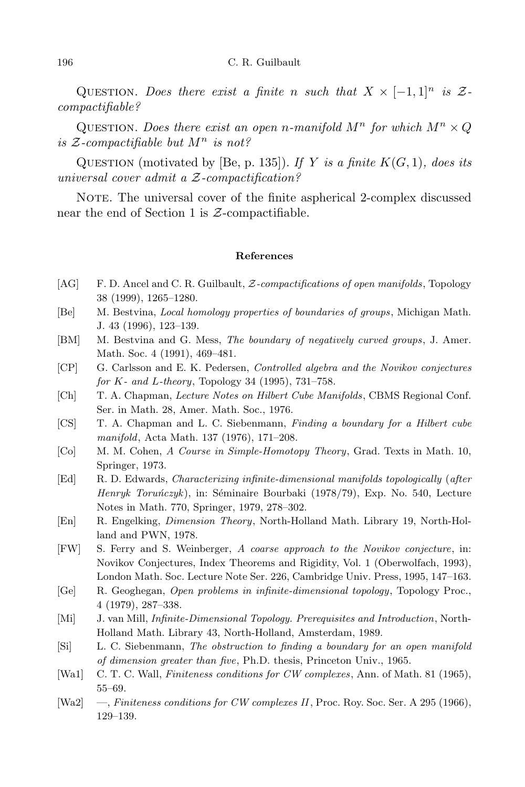#### 196 C. R. Guilbault

QUESTION. Does there exist a finite *n* such that  $X \times [-1,1]^n$  is  $\mathcal{Z}$ *compactifiable?*

QUESTION. *Does there exist an open n-manifold*  $M^n$  *for which*  $M^n \times Q$ *is <sup>Z</sup>-compactifiable but <sup>M</sup><sup>n</sup> is not?*

QUESTION (motivated by [Be, p. 135]). If Y is a finite  $K(G, 1)$ *, does its universal cover admit a Z-compactification?*

NOTE. The universal cover of the finite aspherical 2-complex discussed near the end of Section 1 is *Z*-compactifiable.

### **References**

- [AG] F. D. Ancel and C. R. Guilbault, *Z-compactifications of open manifolds*, Topology 38 (1999), 1265–1280.
- [Be] M. Bestvina, *Local homology properties of boundaries of groups*, Michigan Math. J. 43 (1996), 123–139.
- [BM] M. Bestvina and G. Mess, *The boundary of negatively curved groups*, J. Amer. Math. Soc. 4 (1991), 469–481.
- [CP] G. Carlsson and E. K. Pedersen, *Controlled algebra and the Novikov conjectures for K- and L-theory*, Topology 34 (1995), 731–758.
- [Ch] T. A. Chapman, *Lecture Notes on Hilbert Cube Manifolds*, CBMS Regional Conf. Ser. in Math. 28, Amer. Math. Soc., 1976.
- [CS] T. A. Chapman and L. C. Siebenmann, *Finding a boundary for a Hilbert cube manifold*, Acta Math. 137 (1976), 171–208.
- [Co] M. M. Cohen, *A Course in Simple-Homotopy Theory*, Grad. Texts in Math. 10, Springer, 1973.
- [Ed] R. D. Edwards, *Characterizing infinite-dimensional manifolds topologically* (*after Henryk Toruńczyk*), in: Séminaire Bourbaki (1978/79), Exp. No. 540, Lecture Notes in Math. 770, Springer, 1979, 278–302.
- [En] R. Engelking, *Dimension Theory*, North-Holland Math. Library 19, North-Holland and PWN, 1978.
- [FW] S. Ferry and S. Weinberger, *A coarse approach to the Novikov conjecture*, in: Novikov Conjectures, Index Theorems and Rigidity, Vol. 1 (Oberwolfach, 1993), London Math. Soc. Lecture Note Ser. 226, Cambridge Univ. Press, 1995, 147–163.
- [Ge] R. Geoghegan, *Open problems in infinite-dimensional topology*, Topology Proc., 4 (1979), 287–338.
- [Mi] J. van Mill, *Infinite-Dimensional Topology. Prerequisites and Introduction*, North-Holland Math. Library 43, North-Holland, Amsterdam, 1989.
- [Si] L. C. Siebenmann, *The obstruction to finding a boundary for an open manifold of dimension greater than five*, Ph.D. thesis, Princeton Univ., 1965.
- [Wa1] C. T. C. Wall, *Finiteness conditions for CW complexes*, Ann. of Math. 81 (1965), 55–69.
- [Wa2] —, *Finiteness conditions for CW complexes II*, Proc. Roy. Soc. Ser. A 295 (1966), 129–139.